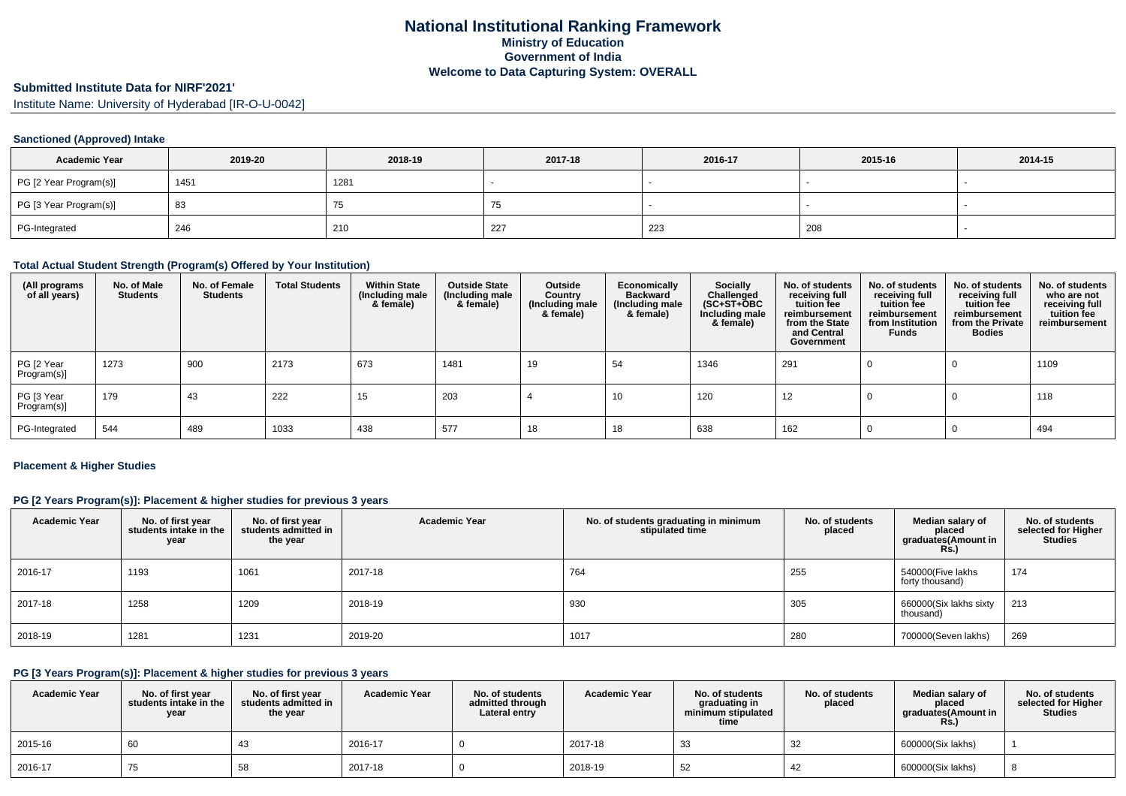# **Submitted Institute Data for NIRF'2021'**

Institute Name: University of Hyderabad [IR-O-U-0042]

## **Sanctioned (Approved) Intake**

| <b>Academic Year</b>   | 2019-20 | 2018-19 | 2017-18 | 2016-17 | 2015-16 | 2014-15 |
|------------------------|---------|---------|---------|---------|---------|---------|
| PG [2 Year Program(s)] | 1451    | 1281    |         |         |         |         |
| PG [3 Year Program(s)] | 83      | ن ،     |         |         |         |         |
| PG-Integrated          | 246     | 210     | -227    | 223     | 208     |         |

### **Total Actual Student Strength (Program(s) Offered by Your Institution)**

| (All programs<br>of all years) | No. of Male<br><b>Students</b> | No. of Female<br><b>Students</b> | <b>Total Students</b> | <b>Within State</b><br>(Including male<br>& female) | <b>Outside State</b><br>(Including male<br>& female) | Outside<br>Country<br>(Including male<br>& female) | Economically<br><b>Backward</b><br>(Including male<br>& female) | <b>Socially</b><br>Challenged<br>$(SC+ST+OBC)$<br>Including male<br>& female) | No. of students<br>receiving full<br>tuition fee<br>reimbursement<br>from the State<br>and Central<br>Government | No. of students<br>receiving full<br>tuition fee<br>reimbursement<br>from Institution<br><b>Funds</b> | No. of students<br>receiving full<br>tuition fee<br>reimbursement<br>from the Private<br><b>Bodies</b> | No. of students<br>who are not<br>receiving full<br>tuition fee<br>reimbursement |
|--------------------------------|--------------------------------|----------------------------------|-----------------------|-----------------------------------------------------|------------------------------------------------------|----------------------------------------------------|-----------------------------------------------------------------|-------------------------------------------------------------------------------|------------------------------------------------------------------------------------------------------------------|-------------------------------------------------------------------------------------------------------|--------------------------------------------------------------------------------------------------------|----------------------------------------------------------------------------------|
| PG [2 Year<br>Program(s)]      | 1273                           | 900                              | 2173                  | 673                                                 | 1481                                                 | 19                                                 | 54                                                              | 1346                                                                          | 291                                                                                                              |                                                                                                       |                                                                                                        | 1109                                                                             |
| PG [3 Year<br>Program(s)]      | 179                            | 43                               | 222                   | 15                                                  | 203                                                  |                                                    | 10                                                              | 120                                                                           | 12                                                                                                               |                                                                                                       |                                                                                                        | 118                                                                              |
| PG-Integrated                  | 544                            | 489                              | 1033                  | 438                                                 | 577                                                  | 18                                                 | 18                                                              | 638                                                                           | 162                                                                                                              |                                                                                                       |                                                                                                        | 494                                                                              |

### **Placement & Higher Studies**

## **PG [2 Years Program(s)]: Placement & higher studies for previous 3 years**

| <b>Academic Year</b> | No. of first year<br>students intake in the<br>year | No. of first year<br>students admitted in<br>the year | <b>Academic Year</b> | No. of students graduating in minimum<br>stipulated time | No. of students<br>placed | Median salary of<br>placed<br>graduates(Amount in<br><b>Rs.)</b> | No. of students<br>selected for Higher<br><b>Studies</b> |
|----------------------|-----------------------------------------------------|-------------------------------------------------------|----------------------|----------------------------------------------------------|---------------------------|------------------------------------------------------------------|----------------------------------------------------------|
| 2016-17              | 1193                                                | 1061                                                  | 2017-18              | 764                                                      | 255                       | 540000(Five lakhs<br>forty thousand)                             | 174                                                      |
| 2017-18              | 1258                                                | 1209                                                  | 2018-19              | 930                                                      | 305                       | 660000(Six lakhs sixty<br>thousand)                              | 213                                                      |
| 2018-19              | 1281                                                | 1231                                                  | 2019-20              | 1017                                                     | 280                       | 700000(Seven lakhs)                                              | 269                                                      |

## **PG [3 Years Program(s)]: Placement & higher studies for previous 3 years**

| <b>Academic Year</b> | No. of first vear<br>students intake in the<br>year | No. of first vear<br>students admitted in<br>the year | <b>Academic Year</b> | No. of students<br>admitted through<br>Lateral entry | <b>Academic Year</b> | No. of students<br>graduating in<br>minimum stipulated<br>time | No. of students<br>placed | Median salary of<br>placed<br>graduates(Amount in<br><b>Rs.)</b> | No. of students<br>selected for Higher<br><b>Studies</b> |
|----------------------|-----------------------------------------------------|-------------------------------------------------------|----------------------|------------------------------------------------------|----------------------|----------------------------------------------------------------|---------------------------|------------------------------------------------------------------|----------------------------------------------------------|
| 2015-16              | 60                                                  | 4٥                                                    | 2016-17              |                                                      | 2017-18              | 33                                                             |                           | 600000(Six lakhs)                                                |                                                          |
| 2016-17              | $\sqrt{5}$                                          | 58                                                    | 2017-18              |                                                      | 2018-19              | -52                                                            |                           | 600000(Six lakhs)                                                |                                                          |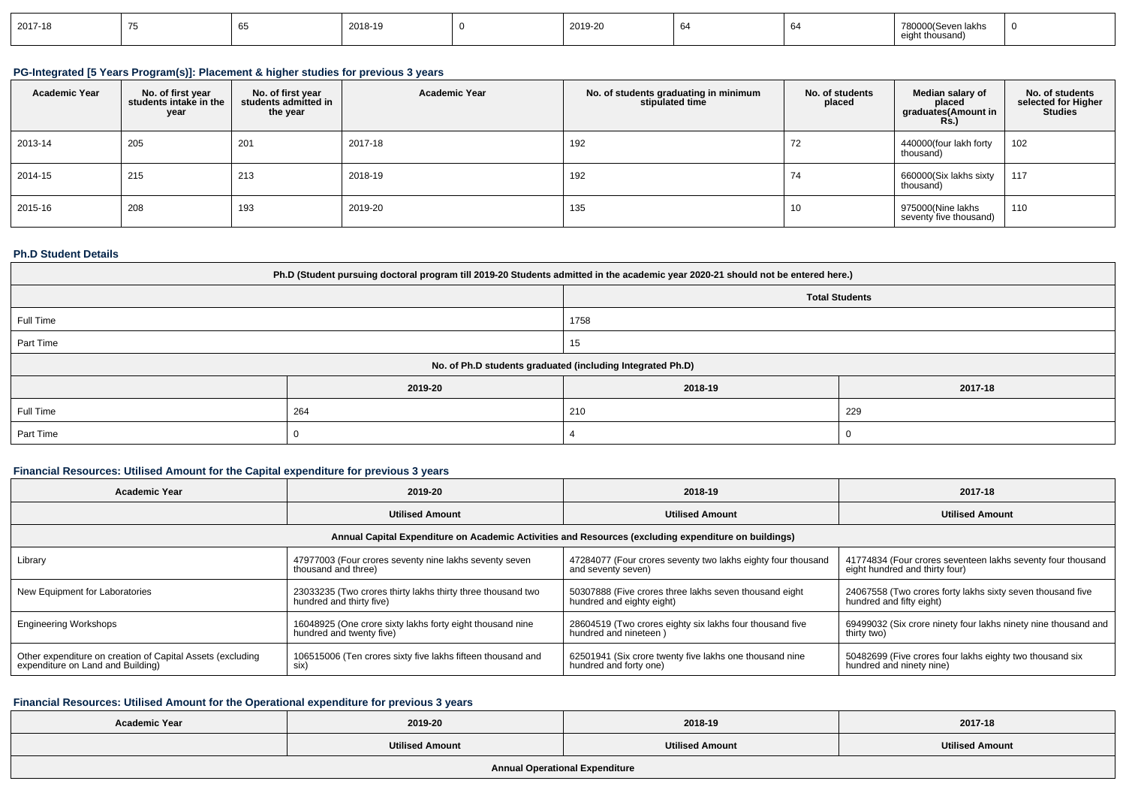| 2019-20<br>2017-18<br>2018-19<br>lakhs<br>nonno |  |  |  |  |  |  |  |  |  |
|-------------------------------------------------|--|--|--|--|--|--|--|--|--|
|-------------------------------------------------|--|--|--|--|--|--|--|--|--|

# **PG-Integrated [5 Years Program(s)]: Placement & higher studies for previous 3 years**

| <b>Academic Year</b> | No. of first year<br>students intake in the<br>year | No. of first year<br>students admitted in<br>the year | <b>Academic Year</b> | No. of students graduating in minimum<br>stipulated time | No. of students<br>placed | Median salary of<br>placed<br>graduates(Amount in<br><b>Rs.</b> ) | No. of students<br>selected for Higher<br><b>Studies</b> |
|----------------------|-----------------------------------------------------|-------------------------------------------------------|----------------------|----------------------------------------------------------|---------------------------|-------------------------------------------------------------------|----------------------------------------------------------|
| 2013-14              | 205                                                 | 201                                                   | 2017-18              | 192                                                      | 72                        | 440000(four lakh forty<br>thousand)                               | 102                                                      |
| 2014-15              | 215                                                 | 213                                                   | 2018-19              | 192                                                      | $\overline{f}$<br>74      | 660000(Six lakhs sixty<br>thousand)                               | 117                                                      |
| 2015-16              | 208                                                 | 193                                                   | 2019-20              | 135                                                      | 10                        | 975000(Nine lakhs<br>seventy five thousand)                       | 110                                                      |

#### **Ph.D Student Details**

| Ph.D (Student pursuing doctoral program till 2019-20 Students admitted in the academic year 2020-21 should not be entered here.) |         |                                                            |         |  |  |  |
|----------------------------------------------------------------------------------------------------------------------------------|---------|------------------------------------------------------------|---------|--|--|--|
| <b>Total Students</b>                                                                                                            |         |                                                            |         |  |  |  |
| Full Time                                                                                                                        |         | 1758                                                       |         |  |  |  |
| Part Time<br>15                                                                                                                  |         |                                                            |         |  |  |  |
|                                                                                                                                  |         | No. of Ph.D students graduated (including Integrated Ph.D) |         |  |  |  |
|                                                                                                                                  | 2019-20 | 2018-19                                                    | 2017-18 |  |  |  |
| Full Time                                                                                                                        | 264     | 210                                                        | 229     |  |  |  |
| Part Time                                                                                                                        |         | - C                                                        |         |  |  |  |

## **Financial Resources: Utilised Amount for the Capital expenditure for previous 3 years**

| <b>Academic Year</b>                                                                                 | 2019-20                                                     | 2018-19                                                      | 2017-18                                                        |  |  |  |  |
|------------------------------------------------------------------------------------------------------|-------------------------------------------------------------|--------------------------------------------------------------|----------------------------------------------------------------|--|--|--|--|
|                                                                                                      | <b>Utilised Amount</b>                                      | <b>Utilised Amount</b>                                       | <b>Utilised Amount</b>                                         |  |  |  |  |
| Annual Capital Expenditure on Academic Activities and Resources (excluding expenditure on buildings) |                                                             |                                                              |                                                                |  |  |  |  |
| Library                                                                                              | 47977003 (Four crores seventy nine lakhs seventy seven      | 47284077 (Four crores seventy two lakhs eighty four thousand | 41774834 (Four crores seventeen lakhs seventy four thousand    |  |  |  |  |
|                                                                                                      | thousand and three)                                         | and seventy seven)                                           | eight hundred and thirty four)                                 |  |  |  |  |
| New Equipment for Laboratories                                                                       | 23033235 (Two crores thirty lakhs thirty three thousand two | 50307888 (Five crores three lakhs seven thousand eight       | 24067558 (Two crores forty lakhs sixty seven thousand five     |  |  |  |  |
|                                                                                                      | hundred and thirty five)                                    | hundred and eighty eight)                                    | hundred and fifty eight)                                       |  |  |  |  |
| <b>Engineering Workshops</b>                                                                         | 16048925 (One crore sixty lakhs forty eight thousand nine   | 28604519 (Two crores eighty six lakhs four thousand five     | 69499032 (Six crore ninety four lakhs ninety nine thousand and |  |  |  |  |
|                                                                                                      | hundred and twenty five)                                    | hundred and nineteen)                                        | thirty two)                                                    |  |  |  |  |
| Other expenditure on creation of Capital Assets (excluding                                           | 106515006 (Ten crores sixty five lakhs fifteen thousand and | 62501941 (Six crore twenty five lakhs one thousand nine      | 50482699 (Five crores four lakhs eighty two thousand six       |  |  |  |  |
| expenditure on Land and Building)                                                                    | six)                                                        | hundred and forty one)                                       | hundred and ninety nine)                                       |  |  |  |  |

### **Financial Resources: Utilised Amount for the Operational expenditure for previous 3 years**

| <b>Academic Year</b> | 2019-20                | 2018-19                | 2017-18                |
|----------------------|------------------------|------------------------|------------------------|
|                      | <b>Utilised Amount</b> | <b>Utilised Amount</b> | <b>Utilised Amount</b> |
|                      |                        |                        |                        |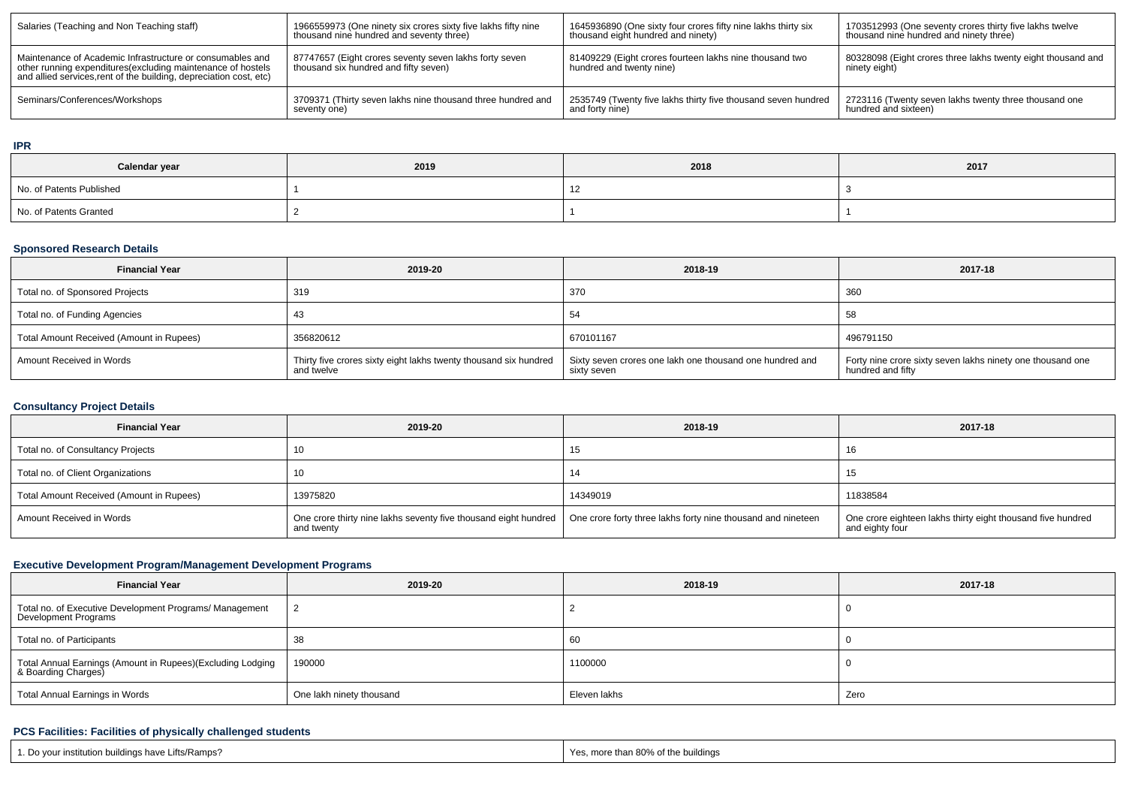| Salaries (Teaching and Non Teaching staff)                                                                                                                                                      | 1966559973 (One ninety six crores sixty five lakhs fifty nine<br>thousand nine hundred and seventy three) | 1645936890 (One sixty four crores fifty nine lakhs thirty six<br>thousand eight hundred and ninety) | 1703512993 (One seventy crores thirty five lakhs twelve<br>thousand nine hundred and ninety three) |
|-------------------------------------------------------------------------------------------------------------------------------------------------------------------------------------------------|-----------------------------------------------------------------------------------------------------------|-----------------------------------------------------------------------------------------------------|----------------------------------------------------------------------------------------------------|
| Maintenance of Academic Infrastructure or consumables and<br>other running expenditures (excluding maintenance of hostels<br>and allied services, rent of the building, depreciation cost, etc) | 87747657 (Eight crores seventy seven lakhs forty seven<br>thousand six hundred and fifty seven)           | 81409229 (Eight crores fourteen lakhs nine thousand two<br>hundred and twenty nine)                 | 80328098 (Eight crores three lakhs twenty eight thousand and<br>ninety eight)                      |
| Seminars/Conferences/Workshops                                                                                                                                                                  | 3709371 (Thirty seven lakhs nine thousand three hundred and<br>seventy one)                               | 2535749 (Twenty five lakhs thirty five thousand seven hundred<br>and forty nine)                    | 2723116 (Twenty seven lakhs twenty three thousand one<br>hundred and sixteen)                      |

#### **IPR**

| Calendar year            | 2019 | 2018 | 2017 |
|--------------------------|------|------|------|
| No. of Patents Published |      |      |      |
| No. of Patents Granted   |      |      |      |

## **Sponsored Research Details**

| <b>Financial Year</b>                    | 2019-20                                                                        | 2018-19                                                                 | 2017-18                                                                         |
|------------------------------------------|--------------------------------------------------------------------------------|-------------------------------------------------------------------------|---------------------------------------------------------------------------------|
| Total no. of Sponsored Projects          | 319                                                                            | 370                                                                     | 360                                                                             |
| Total no. of Funding Agencies            |                                                                                | 54                                                                      | 58                                                                              |
| Total Amount Received (Amount in Rupees) | 356820612                                                                      | 670101167                                                               | 496791150                                                                       |
| Amount Received in Words                 | Thirty five crores sixty eight lakhs twenty thousand six hundred<br>and twelve | Sixty seven crores one lakh one thousand one hundred and<br>sixty seven | Forty nine crore sixty seven lakhs ninety one thousand one<br>hundred and fifty |

## **Consultancy Project Details**

| <b>Financial Year</b>                    | 2019-20                                                                                                                                      | 2018-19  | 2017-18                                                                        |
|------------------------------------------|----------------------------------------------------------------------------------------------------------------------------------------------|----------|--------------------------------------------------------------------------------|
| Total no. of Consultancy Projects        |                                                                                                                                              | 15       |                                                                                |
| Total no. of Client Organizations        |                                                                                                                                              | 14       |                                                                                |
| Total Amount Received (Amount in Rupees) | 13975820                                                                                                                                     | 14349019 | 11838584                                                                       |
| Amount Received in Words                 | One crore thirty nine lakhs seventy five thousand eight hundred   One crore forty three lakhs forty nine thousand and nineteen<br>and twenty |          | One crore eighteen lakhs thirty eight thousand five hundred<br>and eighty four |

## **Executive Development Program/Management Development Programs**

| <b>Financial Year</b>                                                             | 2019-20                  | 2018-19      | 2017-18 |
|-----------------------------------------------------------------------------------|--------------------------|--------------|---------|
| Total no. of Executive Development Programs/ Management<br>Development Programs   |                          |              |         |
| Total no. of Participants                                                         | 38                       | 60           |         |
| Total Annual Earnings (Amount in Rupees)(Excluding Lodging<br>& Boarding Charges) | 190000                   | 1100000      |         |
| <b>Total Annual Earnings in Words</b>                                             | One lakh ninety thousand | Eleven lakhs | Zero    |

## **PCS Facilities: Facilities of physically challenged students**

| 1. Do your institution buildings have Lifts/Ramps? | Yes, more than 80% of the buildings |
|----------------------------------------------------|-------------------------------------|
|                                                    |                                     |
|                                                    |                                     |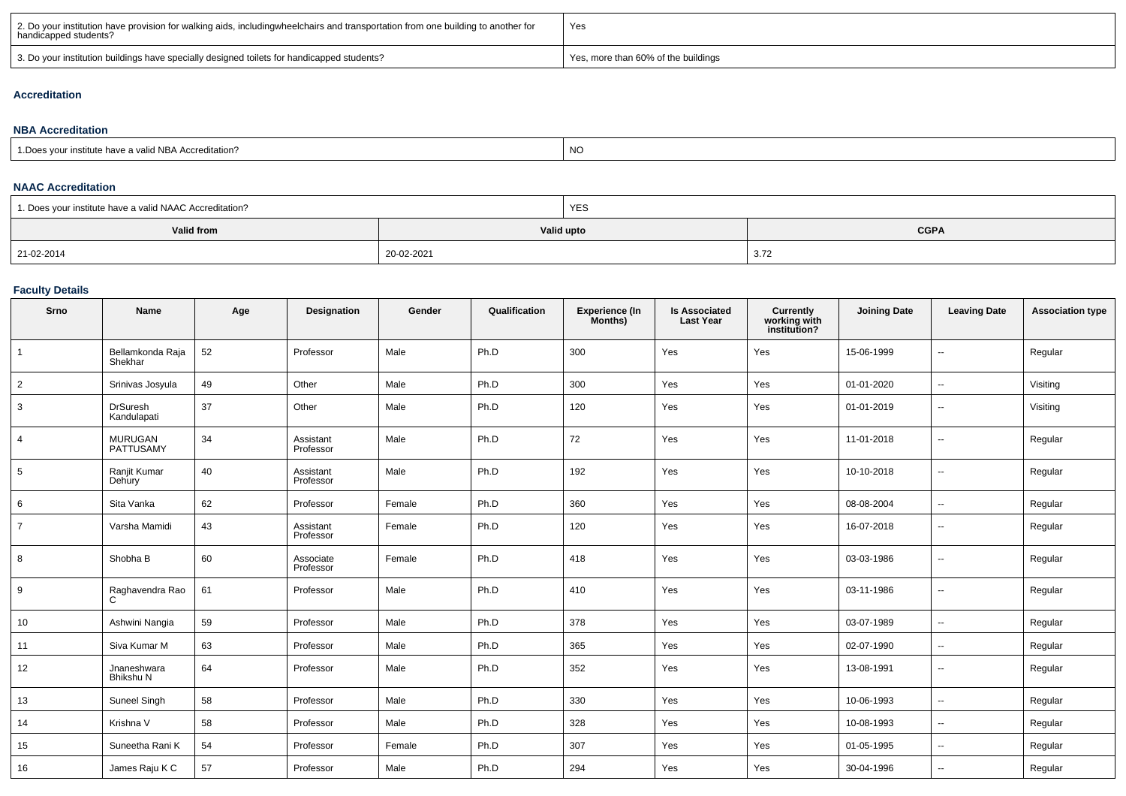| 2. Do your institution have provision for walking aids, includingwheelchairs and transportation from one building to another for<br>handicapped students? | Yes                                 |
|-----------------------------------------------------------------------------------------------------------------------------------------------------------|-------------------------------------|
| 3. Do your institution buildings have specially designed toilets for handicapped students?                                                                | Yes, more than 60% of the buildings |

## **Accreditation**

#### **NBA Accreditation**1.Does your institute have a valid NBA Accreditation?expression of the contract of the contract of the contract of the contract of the contract of the contract of the contract of the contract of the contract of the contract of the contract of the contract of the contract of

#### **NAAC Accreditation**

| 1. Does your institute have a valid NAAC Accreditation? |            | YES                       |      |  |  |  |
|---------------------------------------------------------|------------|---------------------------|------|--|--|--|
| Valid from                                              |            | <b>CGPA</b><br>Valid upto |      |  |  |  |
| 21-02-2014                                              | 20-02-2021 |                           | 3.72 |  |  |  |

## **Faculty Details**

| Srno            | Name                           | Age | Designation            | Gender | Qualification | Experience (In<br>Months) | <b>Is Associated</b><br><b>Last Year</b> | <b>Currently</b><br>working with<br>institution? | <b>Joining Date</b> | <b>Leaving Date</b>      | <b>Association type</b> |
|-----------------|--------------------------------|-----|------------------------|--------|---------------|---------------------------|------------------------------------------|--------------------------------------------------|---------------------|--------------------------|-------------------------|
| $\mathbf{1}$    | Bellamkonda Raja<br>Shekhar    | 52  | Professor              | Male   | Ph.D          | 300                       | Yes                                      | Yes                                              | 15-06-1999          | $\overline{\phantom{a}}$ | Regular                 |
| $\overline{2}$  | Srinivas Josyula               | 49  | Other                  | Male   | Ph.D          | 300                       | Yes                                      | Yes                                              | 01-01-2020          | $\overline{\phantom{a}}$ | Visiting                |
| 3               | <b>DrSuresh</b><br>Kandulapati | 37  | Other                  | Male   | Ph.D          | 120                       | Yes                                      | Yes                                              | 01-01-2019          | $\sim$                   | Visiting                |
| $\overline{4}$  | <b>MURUGAN</b><br>PATTUSAMY    | 34  | Assistant<br>Professor | Male   | Ph.D          | 72                        | Yes                                      | Yes                                              | 11-01-2018          | $\sim$                   | Regular                 |
| $5\phantom{.0}$ | Ranjit Kumar<br>Dehury         | 40  | Assistant<br>Professor | Male   | Ph.D          | 192                       | Yes                                      | Yes                                              | 10-10-2018          | $\overline{\phantom{a}}$ | Regular                 |
| 6               | Sita Vanka                     | 62  | Professor              | Female | Ph.D          | 360                       | Yes                                      | Yes                                              | 08-08-2004          | --                       | Regular                 |
| $\overline{7}$  | Varsha Mamidi                  | 43  | Assistant<br>Professor | Female | Ph.D          | 120                       | Yes                                      | Yes                                              | 16-07-2018          | $\overline{\phantom{a}}$ | Regular                 |
| 8               | Shobha B                       | 60  | Associate<br>Professor | Female | Ph.D          | 418                       | Yes                                      | Yes                                              | 03-03-1986          | $\overline{\phantom{a}}$ | Regular                 |
| 9               | Raghavendra Rao<br>C           | 61  | Professor              | Male   | Ph.D          | 410                       | Yes                                      | Yes                                              | 03-11-1986          | $\overline{\phantom{a}}$ | Regular                 |
| 10              | Ashwini Nangia                 | 59  | Professor              | Male   | Ph.D          | 378                       | Yes                                      | Yes                                              | 03-07-1989          | $\overline{\phantom{a}}$ | Regular                 |
| 11              | Siva Kumar M                   | 63  | Professor              | Male   | Ph.D          | 365                       | Yes                                      | Yes                                              | 02-07-1990          | $\overline{\phantom{a}}$ | Regular                 |
| 12              | Jnaneshwara<br>Bhikshu N       | 64  | Professor              | Male   | Ph.D          | 352                       | Yes                                      | Yes                                              | 13-08-1991          | $\overline{\phantom{a}}$ | Regular                 |
| 13              | Suneel Singh                   | 58  | Professor              | Male   | Ph.D          | 330                       | Yes                                      | Yes                                              | 10-06-1993          | $\overline{\phantom{a}}$ | Regular                 |
| 14              | Krishna V                      | 58  | Professor              | Male   | Ph.D          | 328                       | Yes                                      | Yes                                              | 10-08-1993          | $\overline{\phantom{a}}$ | Regular                 |
| 15              | Suneetha Rani K                | 54  | Professor              | Female | Ph.D          | 307                       | Yes                                      | Yes                                              | 01-05-1995          | --                       | Regular                 |
| 16              | James Raju K C                 | 57  | Professor              | Male   | Ph.D          | 294                       | Yes                                      | Yes                                              | 30-04-1996          | $\overline{\phantom{a}}$ | Regular                 |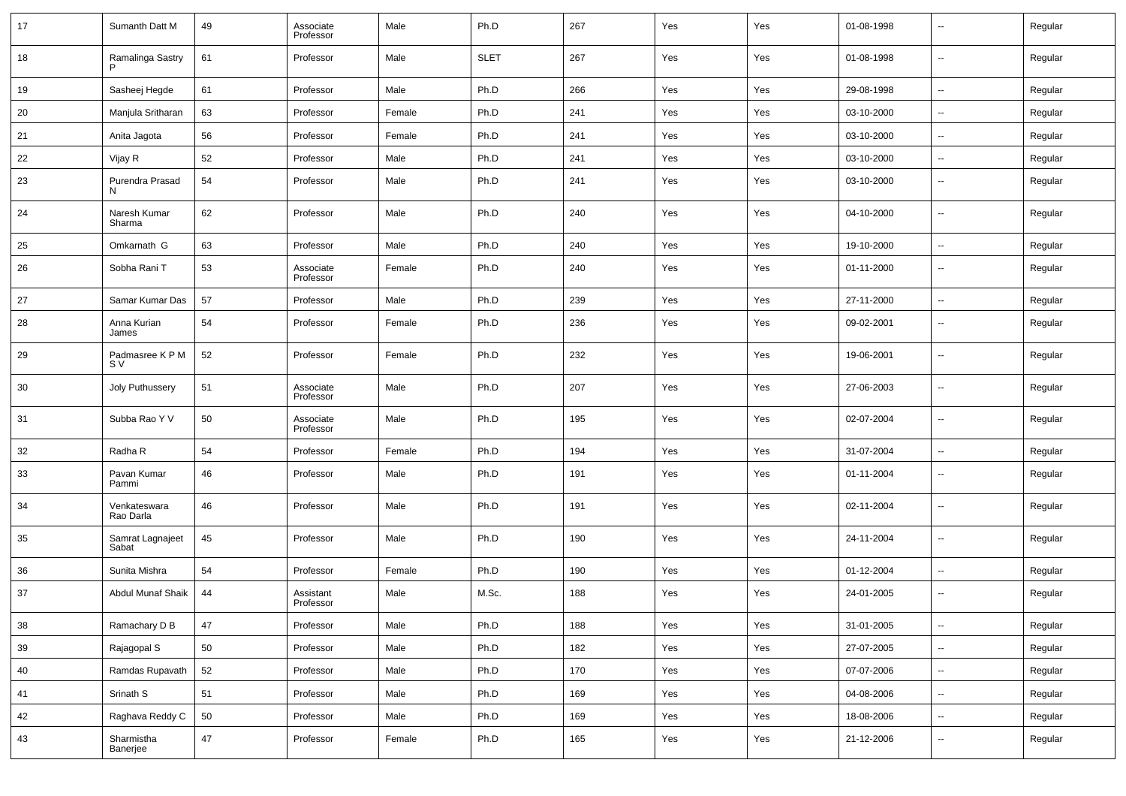| 17 | Sumanth Datt M            | 49 | Associate<br>Professor | Male   | Ph.D        | 267 | Yes | Yes | 01-08-1998 | --                       | Regular |
|----|---------------------------|----|------------------------|--------|-------------|-----|-----|-----|------------|--------------------------|---------|
| 18 | Ramalinga Sastry          | 61 | Professor              | Male   | <b>SLET</b> | 267 | Yes | Yes | 01-08-1998 | --                       | Regular |
| 19 | Sasheej Hegde             | 61 | Professor              | Male   | Ph.D        | 266 | Yes | Yes | 29-08-1998 | $\sim$                   | Regular |
| 20 | Manjula Sritharan         | 63 | Professor              | Female | Ph.D        | 241 | Yes | Yes | 03-10-2000 | $\overline{\phantom{a}}$ | Regular |
| 21 | Anita Jagota              | 56 | Professor              | Female | Ph.D        | 241 | Yes | Yes | 03-10-2000 | $\overline{\phantom{a}}$ | Regular |
| 22 | Vijay R                   | 52 | Professor              | Male   | Ph.D        | 241 | Yes | Yes | 03-10-2000 | --                       | Regular |
| 23 | Purendra Prasad<br>N      | 54 | Professor              | Male   | Ph.D        | 241 | Yes | Yes | 03-10-2000 | --                       | Regular |
| 24 | Naresh Kumar<br>Sharma    | 62 | Professor              | Male   | Ph.D        | 240 | Yes | Yes | 04-10-2000 | --                       | Regular |
| 25 | Omkarnath G               | 63 | Professor              | Male   | Ph.D        | 240 | Yes | Yes | 19-10-2000 | ш,                       | Regular |
| 26 | Sobha Rani T              | 53 | Associate<br>Professor | Female | Ph.D        | 240 | Yes | Yes | 01-11-2000 | $\overline{a}$           | Regular |
| 27 | Samar Kumar Das           | 57 | Professor              | Male   | Ph.D        | 239 | Yes | Yes | 27-11-2000 | ш,                       | Regular |
| 28 | Anna Kurian<br>James      | 54 | Professor              | Female | Ph.D        | 236 | Yes | Yes | 09-02-2001 | --                       | Regular |
| 29 | Padmasree K P M<br>S V    | 52 | Professor              | Female | Ph.D        | 232 | Yes | Yes | 19-06-2001 | ш,                       | Regular |
| 30 | Joly Puthussery           | 51 | Associate<br>Professor | Male   | Ph.D        | 207 | Yes | Yes | 27-06-2003 | --                       | Regular |
| 31 | Subba Rao Y V             | 50 | Associate<br>Professor | Male   | Ph.D        | 195 | Yes | Yes | 02-07-2004 | ш,                       | Regular |
| 32 | Radha R                   | 54 | Professor              | Female | Ph.D        | 194 | Yes | Yes | 31-07-2004 | $\sim$                   | Regular |
| 33 | Pavan Kumar<br>Pammi      | 46 | Professor              | Male   | Ph.D        | 191 | Yes | Yes | 01-11-2004 | --                       | Regular |
| 34 | Venkateswara<br>Rao Darla | 46 | Professor              | Male   | Ph.D        | 191 | Yes | Yes | 02-11-2004 | --                       | Regular |
| 35 | Samrat Lagnajeet<br>Sabat | 45 | Professor              | Male   | Ph.D        | 190 | Yes | Yes | 24-11-2004 | --                       | Regular |
| 36 | Sunita Mishra             | 54 | Professor              | Female | Ph.D        | 190 | Yes | Yes | 01-12-2004 | --                       | Regular |
| 37 | <b>Abdul Munaf Shaik</b>  | 44 | Assistant<br>Professor | Male   | M.Sc.       | 188 | Yes | Yes | 24-01-2005 | --                       | Regular |
| 38 | Ramachary D B             | 47 | Professor              | Male   | Ph.D        | 188 | Yes | Yes | 31-01-2005 | --                       | Regular |
| 39 | Rajagopal S               | 50 | Professor              | Male   | Ph.D        | 182 | Yes | Yes | 27-07-2005 | ш,                       | Regular |
| 40 | Ramdas Rupavath           | 52 | Professor              | Male   | Ph.D        | 170 | Yes | Yes | 07-07-2006 | --                       | Regular |
| 41 | Srinath S                 | 51 | Professor              | Male   | Ph.D        | 169 | Yes | Yes | 04-08-2006 | ш,                       | Regular |
| 42 | Raghava Reddy C           | 50 | Professor              | Male   | Ph.D        | 169 | Yes | Yes | 18-08-2006 | $\overline{\phantom{a}}$ | Regular |
| 43 | Sharmistha<br>Banerjee    | 47 | Professor              | Female | Ph.D        | 165 | Yes | Yes | 21-12-2006 | --                       | Regular |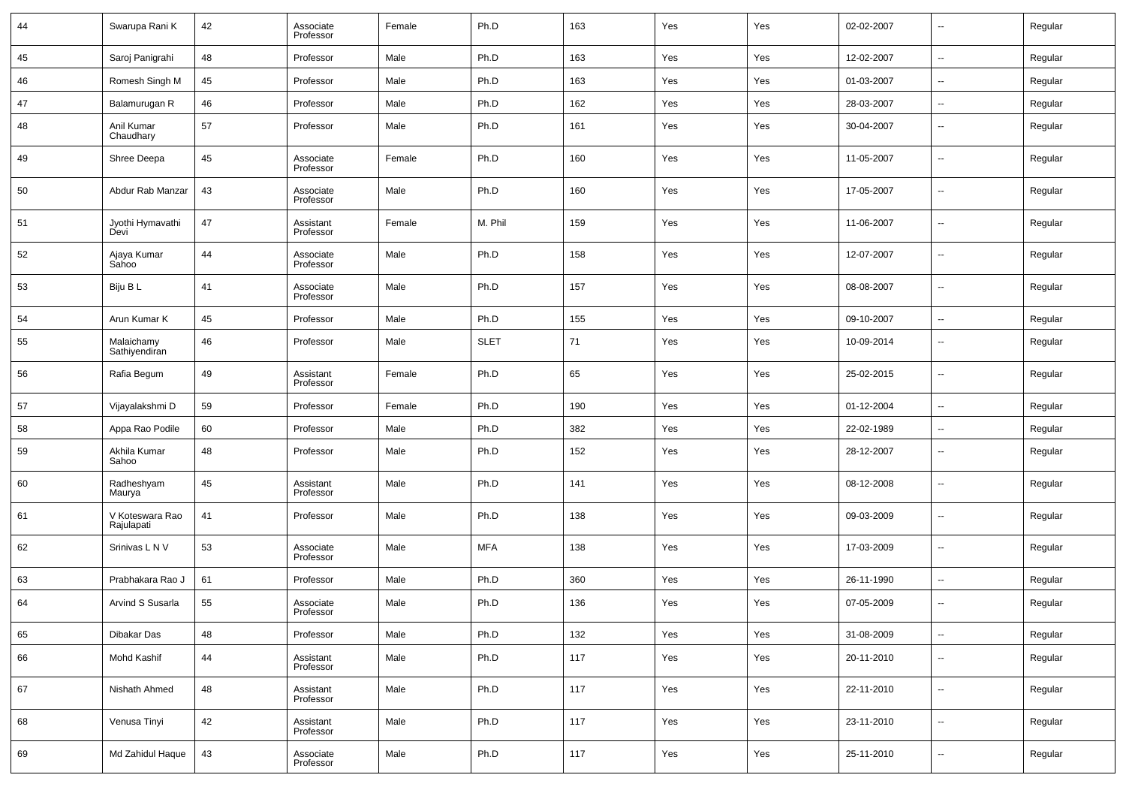| 44 | Swarupa Rani K                | 42 | Associate<br>Professor | Female | Ph.D        | 163 | Yes | Yes | 02-02-2007 | --                       | Regular |
|----|-------------------------------|----|------------------------|--------|-------------|-----|-----|-----|------------|--------------------------|---------|
| 45 | Saroj Panigrahi               | 48 | Professor              | Male   | Ph.D        | 163 | Yes | Yes | 12-02-2007 | ш,                       | Regular |
| 46 | Romesh Singh M                | 45 | Professor              | Male   | Ph.D        | 163 | Yes | Yes | 01-03-2007 | $\sim$                   | Regular |
| 47 | Balamurugan R                 | 46 | Professor              | Male   | Ph.D        | 162 | Yes | Yes | 28-03-2007 | --                       | Regular |
| 48 | Anil Kumar<br>Chaudhary       | 57 | Professor              | Male   | Ph.D        | 161 | Yes | Yes | 30-04-2007 | --                       | Regular |
| 49 | Shree Deepa                   | 45 | Associate<br>Professor | Female | Ph.D        | 160 | Yes | Yes | 11-05-2007 | --                       | Regular |
| 50 | Abdur Rab Manzar              | 43 | Associate<br>Professor | Male   | Ph.D        | 160 | Yes | Yes | 17-05-2007 | --                       | Regular |
| 51 | Jyothi Hymavathi<br>Devi      | 47 | Assistant<br>Professor | Female | M. Phil     | 159 | Yes | Yes | 11-06-2007 | --                       | Regular |
| 52 | Ajaya Kumar<br>Sahoo          | 44 | Associate<br>Professor | Male   | Ph.D        | 158 | Yes | Yes | 12-07-2007 | --                       | Regular |
| 53 | Biju B L                      | 41 | Associate<br>Professor | Male   | Ph.D        | 157 | Yes | Yes | 08-08-2007 | --                       | Regular |
| 54 | Arun Kumar K                  | 45 | Professor              | Male   | Ph.D        | 155 | Yes | Yes | 09-10-2007 | --                       | Regular |
| 55 | Malaichamy<br>Sathiyendiran   | 46 | Professor              | Male   | <b>SLET</b> | 71  | Yes | Yes | 10-09-2014 | --                       | Regular |
| 56 | Rafia Begum                   | 49 | Assistant<br>Professor | Female | Ph.D        | 65  | Yes | Yes | 25-02-2015 | --                       | Regular |
| 57 | Vijayalakshmi D               | 59 | Professor              | Female | Ph.D        | 190 | Yes | Yes | 01-12-2004 | --                       | Regular |
| 58 | Appa Rao Podile               | 60 | Professor              | Male   | Ph.D        | 382 | Yes | Yes | 22-02-1989 | --                       | Regular |
| 59 | Akhila Kumar<br>Sahoo         | 48 | Professor              | Male   | Ph.D        | 152 | Yes | Yes | 28-12-2007 | --                       | Regular |
| 60 | Radheshyam<br>Maurya          | 45 | Assistant<br>Professor | Male   | Ph.D        | 141 | Yes | Yes | 08-12-2008 | --                       | Regular |
| 61 | V Koteswara Rao<br>Rajulapati | 41 | Professor              | Male   | Ph.D        | 138 | Yes | Yes | 09-03-2009 | --                       | Regular |
| 62 | Srinivas L N V                | 53 | Associate<br>Professor | Male   | <b>MFA</b>  | 138 | Yes | Yes | 17-03-2009 | --                       | Regular |
| 63 | Prabhakara Rao J              | 61 | Professor              | Male   | Ph.D        | 360 | Yes | Yes | 26-11-1990 | ш,                       | Regular |
| 64 | Arvind S Susarla              | 55 | Associate<br>Professor | Male   | Ph.D        | 136 | Yes | Yes | 07-05-2009 | --                       | Regular |
| 65 | Dibakar Das                   | 48 | Professor              | Male   | Ph.D        | 132 | Yes | Yes | 31-08-2009 | $\overline{\phantom{a}}$ | Regular |
| 66 | Mohd Kashif                   | 44 | Assistant<br>Professor | Male   | Ph.D        | 117 | Yes | Yes | 20-11-2010 | $\overline{\phantom{a}}$ | Regular |
| 67 | Nishath Ahmed                 | 48 | Assistant<br>Professor | Male   | Ph.D        | 117 | Yes | Yes | 22-11-2010 | $\overline{\phantom{a}}$ | Regular |
| 68 | Venusa Tinyi                  | 42 | Assistant<br>Professor | Male   | Ph.D        | 117 | Yes | Yes | 23-11-2010 | $\overline{\phantom{a}}$ | Regular |
| 69 | Md Zahidul Haque              | 43 | Associate<br>Professor | Male   | Ph.D        | 117 | Yes | Yes | 25-11-2010 | н.                       | Regular |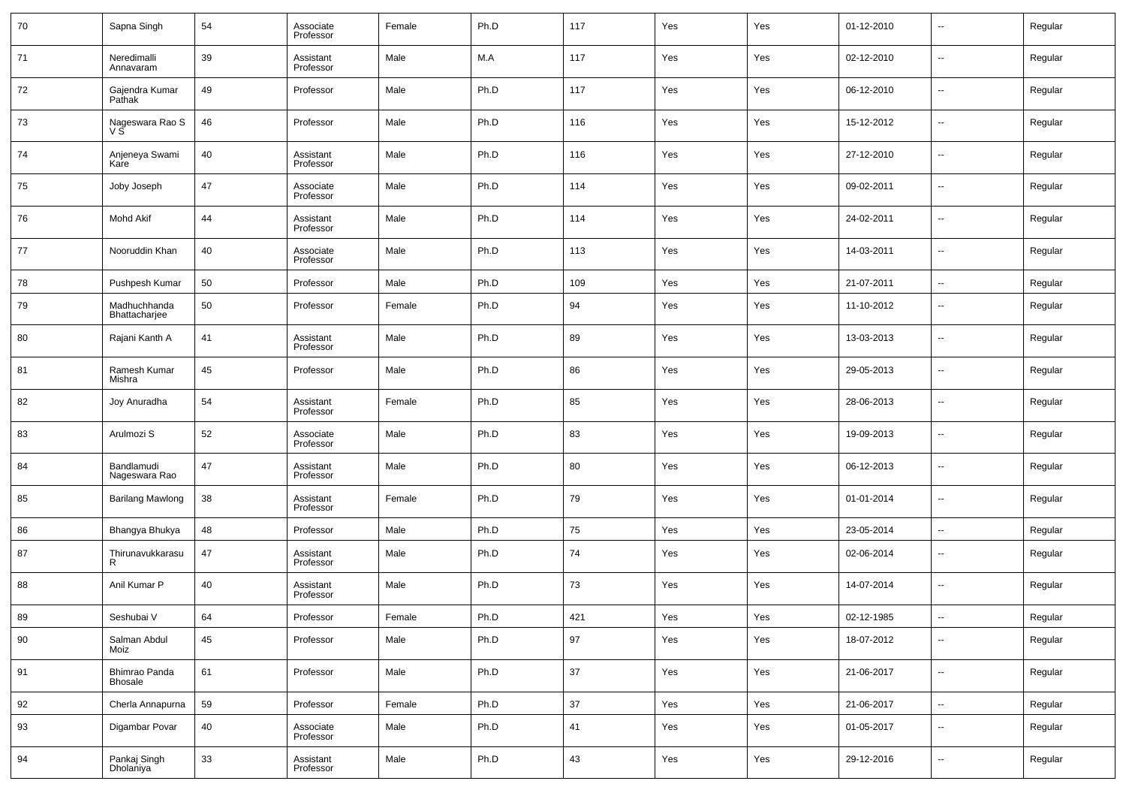| 70 | Sapna Singh                     | 54 | Associate<br>Professor | Female | Ph.D | 117 | Yes | Yes | 01-12-2010 | --                       | Regular |
|----|---------------------------------|----|------------------------|--------|------|-----|-----|-----|------------|--------------------------|---------|
| 71 | Neredimalli<br>Annavaram        | 39 | Assistant<br>Professor | Male   | M.A  | 117 | Yes | Yes | 02-12-2010 | --                       | Regular |
| 72 | Gajendra Kumar<br>Pathak        | 49 | Professor              | Male   | Ph.D | 117 | Yes | Yes | 06-12-2010 | $\overline{\phantom{a}}$ | Regular |
| 73 | Nageswara Rao S<br>νš           | 46 | Professor              | Male   | Ph.D | 116 | Yes | Yes | 15-12-2012 | ш,                       | Regular |
| 74 | Anjeneya Swami<br>Kare          | 40 | Assistant<br>Professor | Male   | Ph.D | 116 | Yes | Yes | 27-12-2010 | $\overline{\phantom{a}}$ | Regular |
| 75 | Joby Joseph                     | 47 | Associate<br>Professor | Male   | Ph.D | 114 | Yes | Yes | 09-02-2011 | --                       | Regular |
| 76 | <b>Mohd Akif</b>                | 44 | Assistant<br>Professor | Male   | Ph.D | 114 | Yes | Yes | 24-02-2011 | ш,                       | Regular |
| 77 | Nooruddin Khan                  | 40 | Associate<br>Professor | Male   | Ph.D | 113 | Yes | Yes | 14-03-2011 | --                       | Regular |
| 78 | Pushpesh Kumar                  | 50 | Professor              | Male   | Ph.D | 109 | Yes | Yes | 21-07-2011 | $\overline{\phantom{a}}$ | Regular |
| 79 | Madhuchhanda<br>Bhattacharjee   | 50 | Professor              | Female | Ph.D | 94  | Yes | Yes | 11-10-2012 | --                       | Regular |
| 80 | Rajani Kanth A                  | 41 | Assistant<br>Professor | Male   | Ph.D | 89  | Yes | Yes | 13-03-2013 | $\sim$                   | Regular |
| 81 | Ramesh Kumar<br>Mishra          | 45 | Professor              | Male   | Ph.D | 86  | Yes | Yes | 29-05-2013 | н.                       | Regular |
| 82 | Joy Anuradha                    | 54 | Assistant<br>Professor | Female | Ph.D | 85  | Yes | Yes | 28-06-2013 | $\overline{\phantom{a}}$ | Regular |
| 83 | Arulmozi S                      | 52 | Associate<br>Professor | Male   | Ph.D | 83  | Yes | Yes | 19-09-2013 | н.                       | Regular |
| 84 | Bandlamudi<br>Nageswara Rao     | 47 | Assistant<br>Professor | Male   | Ph.D | 80  | Yes | Yes | 06-12-2013 | $\overline{\phantom{a}}$ | Regular |
| 85 | <b>Barilang Mawlong</b>         | 38 | Assistant<br>Professor | Female | Ph.D | 79  | Yes | Yes | 01-01-2014 | н.                       | Regular |
| 86 | Bhangya Bhukya                  | 48 | Professor              | Male   | Ph.D | 75  | Yes | Yes | 23-05-2014 | $\sim$                   | Regular |
| 87 | Thirunavukkarasu<br>R           | 47 | Assistant<br>Professor | Male   | Ph.D | 74  | Yes | Yes | 02-06-2014 | --                       | Regular |
| 88 | Anil Kumar P                    | 40 | Assistant<br>Professor | Male   | Ph.D | 73  | Yes | Yes | 14-07-2014 | --                       | Regular |
| 89 | Seshubai V                      | 64 | Professor              | Female | Ph.D | 421 | Yes | Yes | 02-12-1985 | $\sim$                   | Regular |
| 90 | Salman Abdul<br>Moiz            | 45 | Professor              | Male   | Ph.D | 97  | Yes | Yes | 18-07-2012 | н.                       | Regular |
| 91 | Bhimrao Panda<br><b>Bhosale</b> | 61 | Professor              | Male   | Ph.D | 37  | Yes | Yes | 21-06-2017 | $\sim$                   | Regular |
| 92 | Cherla Annapurna                | 59 | Professor              | Female | Ph.D | 37  | Yes | Yes | 21-06-2017 | $\overline{\phantom{a}}$ | Regular |
| 93 | Digambar Povar                  | 40 | Associate<br>Professor | Male   | Ph.D | 41  | Yes | Yes | 01-05-2017 | $\sim$                   | Regular |
| 94 | Pankaj Singh<br>Dholaniya       | 33 | Assistant<br>Professor | Male   | Ph.D | 43  | Yes | Yes | 29-12-2016 | --                       | Regular |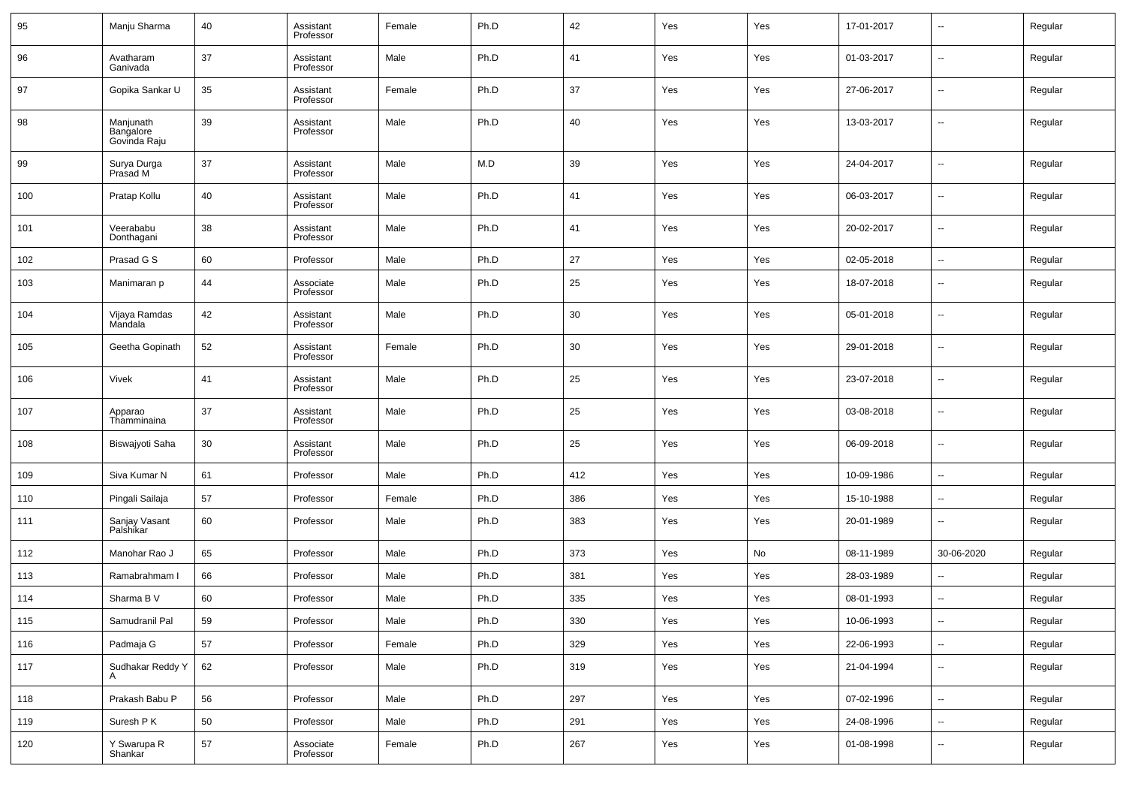| 95  | Manju Sharma                           | 40 | Assistant<br>Professor | Female | Ph.D | 42  | Yes | Yes | 17-01-2017 | --                       | Regular |
|-----|----------------------------------------|----|------------------------|--------|------|-----|-----|-----|------------|--------------------------|---------|
| 96  | Avatharam<br>Ganivada                  | 37 | Assistant<br>Professor | Male   | Ph.D | 41  | Yes | Yes | 01-03-2017 | $\overline{\phantom{a}}$ | Regular |
| 97  | Gopika Sankar U                        | 35 | Assistant<br>Professor | Female | Ph.D | 37  | Yes | Yes | 27-06-2017 | --                       | Regular |
| 98  | Manjunath<br>Bangalore<br>Govinda Raju | 39 | Assistant<br>Professor | Male   | Ph.D | 40  | Yes | Yes | 13-03-2017 | $\overline{a}$           | Regular |
| 99  | Surya Durga<br>Prasad M                | 37 | Assistant<br>Professor | Male   | M.D  | 39  | Yes | Yes | 24-04-2017 | -−                       | Regular |
| 100 | Pratap Kollu                           | 40 | Assistant<br>Professor | Male   | Ph.D | 41  | Yes | Yes | 06-03-2017 | $\overline{\phantom{a}}$ | Regular |
| 101 | Veerababu<br>Donthagani                | 38 | Assistant<br>Professor | Male   | Ph.D | 41  | Yes | Yes | 20-02-2017 | $\overline{\phantom{a}}$ | Regular |
| 102 | Prasad G S                             | 60 | Professor              | Male   | Ph.D | 27  | Yes | Yes | 02-05-2018 | ÷.                       | Regular |
| 103 | Manimaran p                            | 44 | Associate<br>Professor | Male   | Ph.D | 25  | Yes | Yes | 18-07-2018 | --                       | Regular |
| 104 | Vijaya Ramdas<br>Mandala               | 42 | Assistant<br>Professor | Male   | Ph.D | 30  | Yes | Yes | 05-01-2018 | --                       | Regular |
| 105 | Geetha Gopinath                        | 52 | Assistant<br>Professor | Female | Ph.D | 30  | Yes | Yes | 29-01-2018 | --                       | Regular |
| 106 | Vivek                                  | 41 | Assistant<br>Professor | Male   | Ph.D | 25  | Yes | Yes | 23-07-2018 | --                       | Regular |
| 107 | Apparao<br>Thamminaina                 | 37 | Assistant<br>Professor | Male   | Ph.D | 25  | Yes | Yes | 03-08-2018 | --                       | Regular |
| 108 | Biswajyoti Saha                        | 30 | Assistant<br>Professor | Male   | Ph.D | 25  | Yes | Yes | 06-09-2018 | --                       | Regular |
| 109 | Siva Kumar N                           | 61 | Professor              | Male   | Ph.D | 412 | Yes | Yes | 10-09-1986 | $\overline{\phantom{a}}$ | Regular |
| 110 | Pingali Sailaja                        | 57 | Professor              | Female | Ph.D | 386 | Yes | Yes | 15-10-1988 | --                       | Regular |
| 111 | Sanjay Vasant<br>Palshikar             | 60 | Professor              | Male   | Ph.D | 383 | Yes | Yes | 20-01-1989 | --                       | Regular |
| 112 | Manohar Rao J                          | 65 | Professor              | Male   | Ph.D | 373 | Yes | No  | 08-11-1989 | 30-06-2020               | Regular |
| 113 | Ramabrahmam I                          | 66 | Professor              | Male   | Ph.D | 381 | Yes | Yes | 28-03-1989 | --                       | Regular |
| 114 | Sharma B V                             | 60 | Professor              | Male   | Ph.D | 335 | Yes | Yes | 08-01-1993 | --                       | Regular |
| 115 | Samudranil Pal                         | 59 | Professor              | Male   | Ph.D | 330 | Yes | Yes | 10-06-1993 | $\sim$                   | Regular |
| 116 | Padmaja G                              | 57 | Professor              | Female | Ph.D | 329 | Yes | Yes | 22-06-1993 | щ.                       | Regular |
| 117 | Sudhakar Reddy Y                       | 62 | Professor              | Male   | Ph.D | 319 | Yes | Yes | 21-04-1994 | −−                       | Regular |
| 118 | Prakash Babu P                         | 56 | Professor              | Male   | Ph.D | 297 | Yes | Yes | 07-02-1996 | щ.                       | Regular |
| 119 | Suresh P K                             | 50 | Professor              | Male   | Ph.D | 291 | Yes | Yes | 24-08-1996 | щ.                       | Regular |
| 120 | Y Swarupa R<br>Shankar                 | 57 | Associate<br>Professor | Female | Ph.D | 267 | Yes | Yes | 01-08-1998 | --                       | Regular |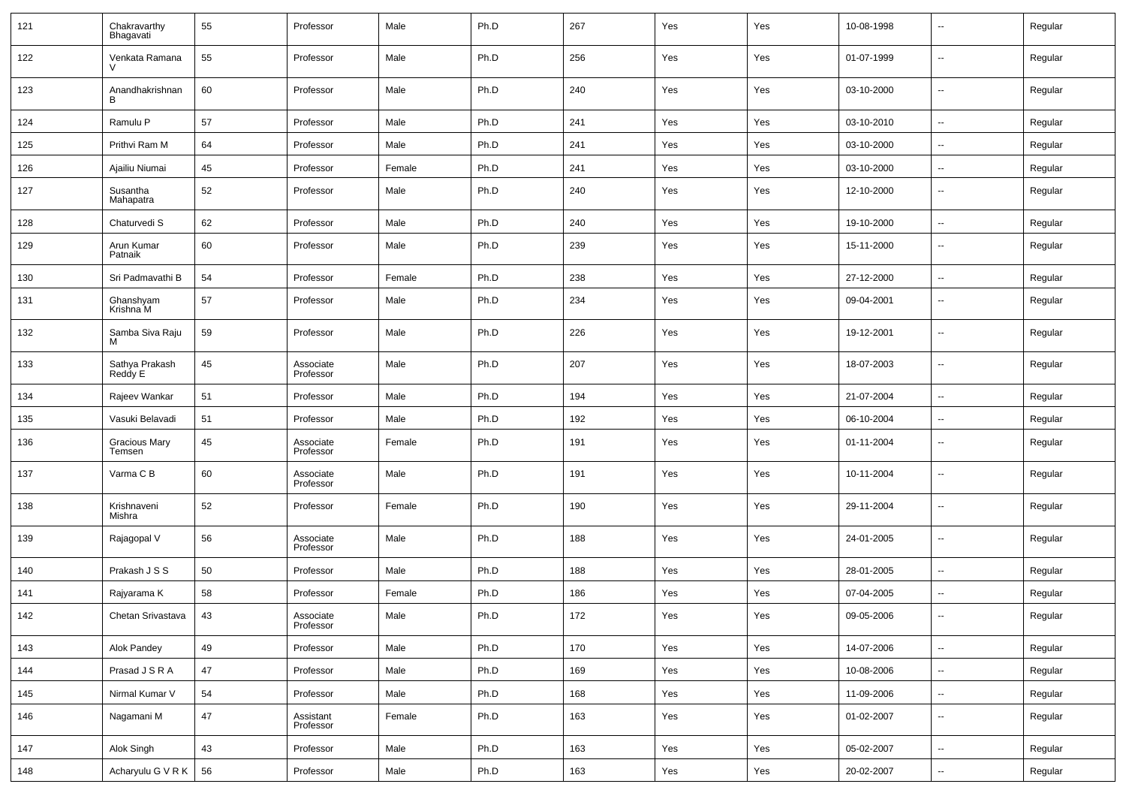| 121           | Chakravarthy<br>Bhagavati      | 55 | Professor              | Male   | Ph.D | 267 | Yes | Yes | 10-08-1998 | $\overline{\phantom{a}}$ | Regular |
|---------------|--------------------------------|----|------------------------|--------|------|-----|-----|-----|------------|--------------------------|---------|
| 122           | Venkata Ramana                 | 55 | Professor              | Male   | Ph.D | 256 | Yes | Yes | 01-07-1999 | $\overline{\phantom{a}}$ | Regular |
| 123           | Anandhakrishnan<br>в           | 60 | Professor              | Male   | Ph.D | 240 | Yes | Yes | 03-10-2000 | $\overline{\phantom{a}}$ | Regular |
| 124           | Ramulu P                       | 57 | Professor              | Male   | Ph.D | 241 | Yes | Yes | 03-10-2010 | $\overline{\phantom{a}}$ | Regular |
| 125           | Prithvi Ram M                  | 64 | Professor              | Male   | Ph.D | 241 | Yes | Yes | 03-10-2000 | $\overline{\phantom{a}}$ | Regular |
| 126           | Ajailiu Niumai                 | 45 | Professor              | Female | Ph.D | 241 | Yes | Yes | 03-10-2000 | $\sim$                   | Regular |
| 127           | Susantha<br>Mahapatra          | 52 | Professor              | Male   | Ph.D | 240 | Yes | Yes | 12-10-2000 | --                       | Regular |
| 128           | Chaturvedi S                   | 62 | Professor              | Male   | Ph.D | 240 | Yes | Yes | 19-10-2000 | $\sim$                   | Regular |
| 129           | Arun Kumar<br>Patnaik          | 60 | Professor              | Male   | Ph.D | 239 | Yes | Yes | 15-11-2000 | --                       | Regular |
| 130           | Sri Padmavathi B               | 54 | Professor              | Female | Ph.D | 238 | Yes | Yes | 27-12-2000 | ш,                       | Regular |
| 131           | Ghanshyam<br>Krishna M         | 57 | Professor              | Male   | Ph.D | 234 | Yes | Yes | 09-04-2001 | $\overline{a}$           | Regular |
| 132           | Samba Siva Raju<br>м           | 59 | Professor              | Male   | Ph.D | 226 | Yes | Yes | 19-12-2001 | $\overline{\phantom{a}}$ | Regular |
| 133           | Sathya Prakash<br>Reddy E      | 45 | Associate<br>Professor | Male   | Ph.D | 207 | Yes | Yes | 18-07-2003 | $\overline{a}$           | Regular |
| 134           | Rajeev Wankar                  | 51 | Professor              | Male   | Ph.D | 194 | Yes | Yes | 21-07-2004 | н.                       | Regular |
| 135           | Vasuki Belavadi                | 51 | Professor              | Male   | Ph.D | 192 | Yes | Yes | 06-10-2004 | $\sim$                   | Regular |
| 136           | <b>Gracious Mary</b><br>Temsen | 45 | Associate<br>Professor | Female | Ph.D | 191 | Yes | Yes | 01-11-2004 | --                       | Regular |
| 137           | Varma C B                      | 60 | Associate<br>Professor | Male   | Ph.D | 191 | Yes | Yes | 10-11-2004 | --                       | Regular |
| 138           | Krishnaveni<br>Mishra          | 52 | Professor              | Female | Ph.D | 190 | Yes | Yes | 29-11-2004 | --                       | Regular |
| 139           | Rajagopal V                    | 56 | Associate<br>Professor | Male   | Ph.D | 188 | Yes | Yes | 24-01-2005 | --                       | Regular |
| 140           | Prakash J S S                  | 50 | Professor              | Male   | Ph.D | 188 | Yes | Yes | 28-01-2005 | ш.                       | Regular |
| 141           | Rajyarama K                    | 58 | Professor              | Female | Ph.D | 186 | Yes | Yes | 07-04-2005 | --                       | Regular |
| $ 142\rangle$ | Chetan Srivastava              | 43 | Associate<br>Professor | Male   | Ph.D | 172 | Yes | Yes | 09-05-2006 | $\sim$                   | Regular |
| 143           | Alok Pandey                    | 49 | Professor              | Male   | Ph.D | 170 | Yes | Yes | 14-07-2006 | $\overline{\phantom{a}}$ | Regular |
| 144           | Prasad J S R A                 | 47 | Professor              | Male   | Ph.D | 169 | Yes | Yes | 10-08-2006 | $\overline{\phantom{a}}$ | Regular |
| 145           | Nirmal Kumar V                 | 54 | Professor              | Male   | Ph.D | 168 | Yes | Yes | 11-09-2006 | ٠.                       | Regular |
| 146           | Nagamani M                     | 47 | Assistant<br>Professor | Female | Ph.D | 163 | Yes | Yes | 01-02-2007 | $\overline{\phantom{a}}$ | Regular |
| 147           | Alok Singh                     | 43 | Professor              | Male   | Ph.D | 163 | Yes | Yes | 05-02-2007 | ω,                       | Regular |
| 148           | Acharyulu G V R K              | 56 | Professor              | Male   | Ph.D | 163 | Yes | Yes | 20-02-2007 | $\overline{\phantom{a}}$ | Regular |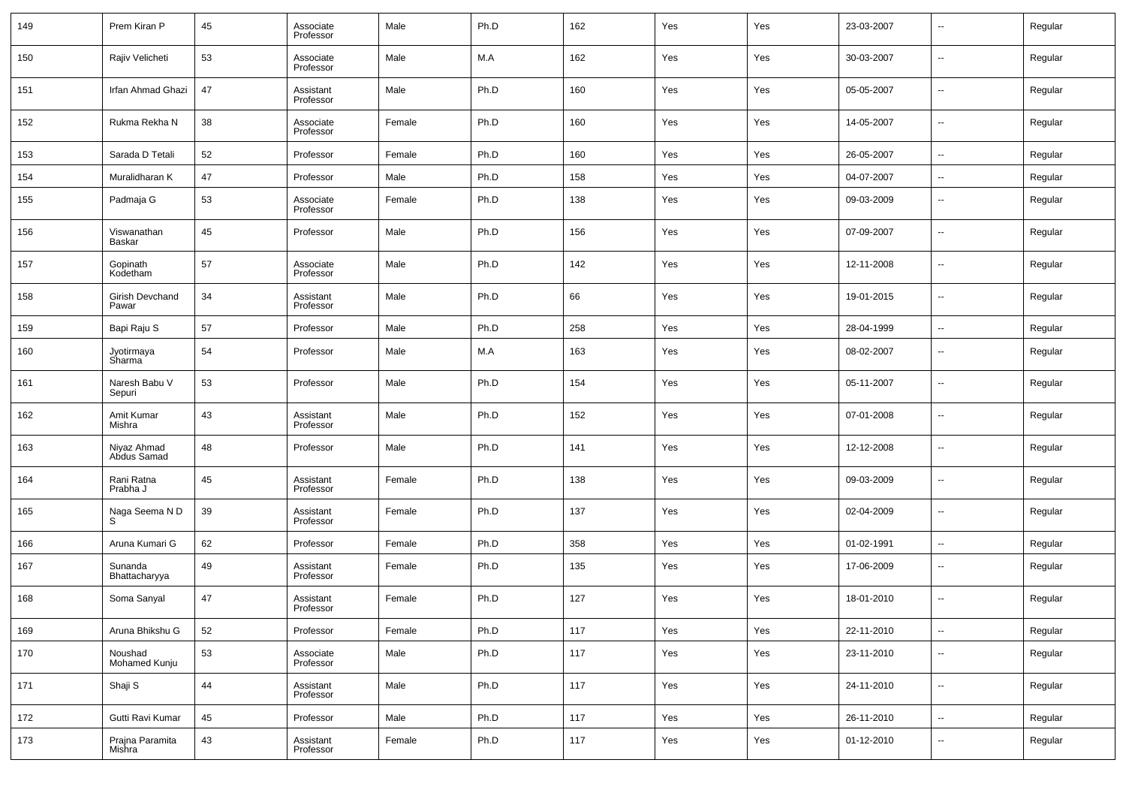| 149 | Prem Kiran P               | 45 | Associate<br>Professor | Male   | Ph.D | 162 | Yes | Yes | 23-03-2007 | $\overline{\phantom{a}}$ | Regular |
|-----|----------------------------|----|------------------------|--------|------|-----|-----|-----|------------|--------------------------|---------|
| 150 | Rajiv Velicheti            | 53 | Associate<br>Professor | Male   | M.A  | 162 | Yes | Yes | 30-03-2007 | $\overline{\phantom{a}}$ | Regular |
| 151 | <b>Irfan Ahmad Ghazi</b>   | 47 | Assistant<br>Professor | Male   | Ph.D | 160 | Yes | Yes | 05-05-2007 | $\overline{\phantom{a}}$ | Regular |
| 152 | Rukma Rekha N              | 38 | Associate<br>Professor | Female | Ph.D | 160 | Yes | Yes | 14-05-2007 | $\overline{\phantom{a}}$ | Regular |
| 153 | Sarada D Tetali            | 52 | Professor              | Female | Ph.D | 160 | Yes | Yes | 26-05-2007 | $\overline{\phantom{a}}$ | Regular |
| 154 | Muralidharan K             | 47 | Professor              | Male   | Ph.D | 158 | Yes | Yes | 04-07-2007 | $\overline{\phantom{a}}$ | Regular |
| 155 | Padmaja G                  | 53 | Associate<br>Professor | Female | Ph.D | 138 | Yes | Yes | 09-03-2009 | $\overline{\phantom{a}}$ | Regular |
| 156 | Viswanathan<br>Baskar      | 45 | Professor              | Male   | Ph.D | 156 | Yes | Yes | 07-09-2007 | $\overline{\phantom{a}}$ | Regular |
| 157 | Gopinath<br>Kodetham       | 57 | Associate<br>Professor | Male   | Ph.D | 142 | Yes | Yes | 12-11-2008 | $\overline{\phantom{a}}$ | Regular |
| 158 | Girish Devchand<br>Pawar   | 34 | Assistant<br>Professor | Male   | Ph.D | 66  | Yes | Yes | 19-01-2015 | $\overline{\phantom{a}}$ | Regular |
| 159 | Bapi Raju S                | 57 | Professor              | Male   | Ph.D | 258 | Yes | Yes | 28-04-1999 | $\overline{\phantom{a}}$ | Regular |
| 160 | Jyotirmaya<br>Sharma       | 54 | Professor              | Male   | M.A  | 163 | Yes | Yes | 08-02-2007 | $\overline{\phantom{a}}$ | Regular |
| 161 | Naresh Babu V<br>Sepuri    | 53 | Professor              | Male   | Ph.D | 154 | Yes | Yes | 05-11-2007 | $\overline{\phantom{a}}$ | Regular |
| 162 | Amit Kumar<br>Mishra       | 43 | Assistant<br>Professor | Male   | Ph.D | 152 | Yes | Yes | 07-01-2008 | $\overline{\phantom{a}}$ | Regular |
| 163 | Niyaz Ahmad<br>Abdus Samad | 48 | Professor              | Male   | Ph.D | 141 | Yes | Yes | 12-12-2008 | $\overline{\phantom{a}}$ | Regular |
| 164 | Rani Ratna<br>Prabha J     | 45 | Assistant<br>Professor | Female | Ph.D | 138 | Yes | Yes | 09-03-2009 | $\overline{\phantom{a}}$ | Regular |
| 165 | Naga Seema N D<br>S        | 39 | Assistant<br>Professor | Female | Ph.D | 137 | Yes | Yes | 02-04-2009 | $\overline{\phantom{a}}$ | Regular |
| 166 | Aruna Kumari G             | 62 | Professor              | Female | Ph.D | 358 | Yes | Yes | 01-02-1991 | $\overline{\phantom{a}}$ | Regular |
| 167 | Sunanda<br>Bhattacharyya   | 49 | Assistant<br>Professor | Female | Ph.D | 135 | Yes | Yes | 17-06-2009 | $\overline{\phantom{a}}$ | Regular |
| 168 | Soma Sanyal                | 47 | Assistant<br>Professor | Female | Ph.D | 127 | Yes | Yes | 18-01-2010 | $\overline{\phantom{a}}$ | Regular |
| 169 | Aruna Bhikshu G            | 52 | Professor              | Female | Ph.D | 117 | Yes | Yes | 22-11-2010 | $\overline{\phantom{a}}$ | Regular |
| 170 | Noushad<br>Mohamed Kunju   | 53 | Associate<br>Professor | Male   | Ph.D | 117 | Yes | Yes | 23-11-2010 | $\overline{\phantom{a}}$ | Regular |
| 171 | Shaji S                    | 44 | Assistant<br>Professor | Male   | Ph.D | 117 | Yes | Yes | 24-11-2010 | $\overline{\phantom{a}}$ | Regular |
| 172 | Gutti Ravi Kumar           | 45 | Professor              | Male   | Ph.D | 117 | Yes | Yes | 26-11-2010 | $\overline{\phantom{a}}$ | Regular |
| 173 | Prajna Paramita<br>Mishra  | 43 | Assistant<br>Professor | Female | Ph.D | 117 | Yes | Yes | 01-12-2010 | $\overline{\phantom{a}}$ | Regular |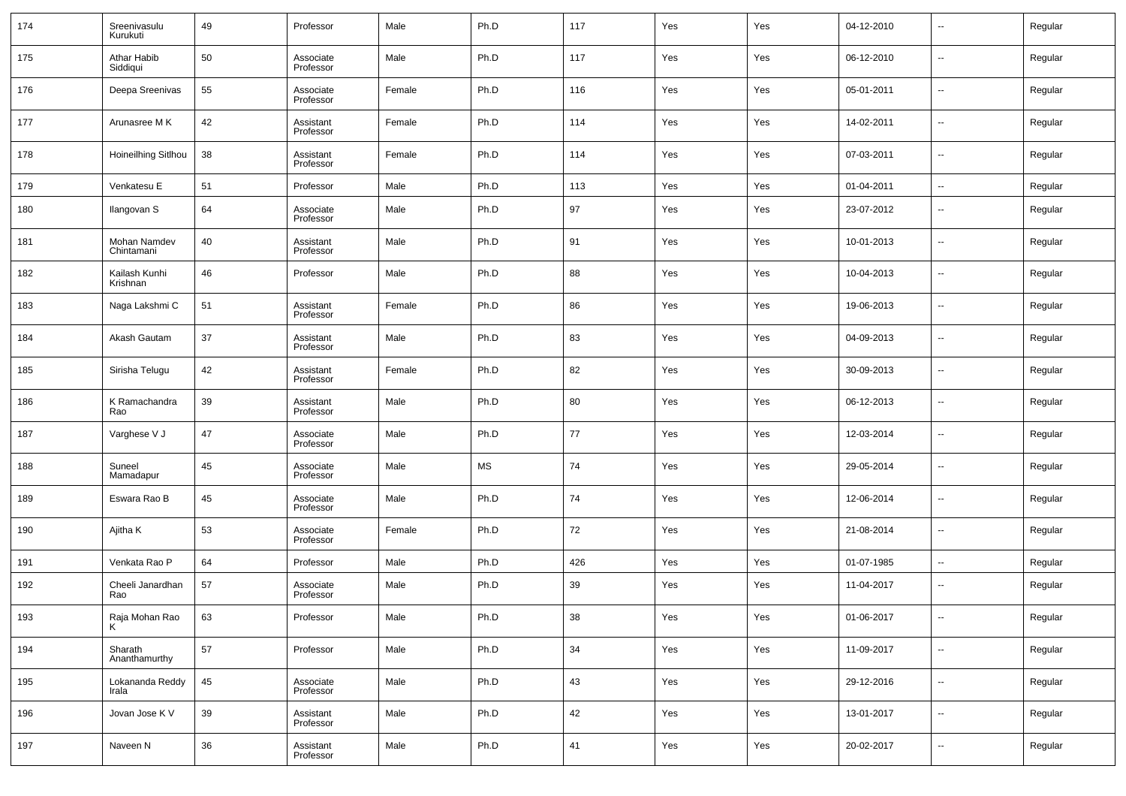| 174 | Sreenivasulu<br>Kurukuti   | 49 | Professor              | Male   | Ph.D      | 117 | Yes | Yes | 04-12-2010 | $\overline{\phantom{a}}$ | Regular |
|-----|----------------------------|----|------------------------|--------|-----------|-----|-----|-----|------------|--------------------------|---------|
| 175 | Athar Habib<br>Siddiqui    | 50 | Associate<br>Professor | Male   | Ph.D      | 117 | Yes | Yes | 06-12-2010 | $\overline{\phantom{a}}$ | Regular |
| 176 | Deepa Sreenivas            | 55 | Associate<br>Professor | Female | Ph.D      | 116 | Yes | Yes | 05-01-2011 | $\overline{\phantom{a}}$ | Regular |
| 177 | Arunasree M K              | 42 | Assistant<br>Professor | Female | Ph.D      | 114 | Yes | Yes | 14-02-2011 | $\overline{\phantom{a}}$ | Regular |
| 178 | Hoineilhing Sitlhou        | 38 | Assistant<br>Professor | Female | Ph.D      | 114 | Yes | Yes | 07-03-2011 | $\overline{\phantom{a}}$ | Regular |
| 179 | Venkatesu E                | 51 | Professor              | Male   | Ph.D      | 113 | Yes | Yes | 01-04-2011 | $\overline{\phantom{a}}$ | Regular |
| 180 | Ilangovan S                | 64 | Associate<br>Professor | Male   | Ph.D      | 97  | Yes | Yes | 23-07-2012 | $\overline{\phantom{a}}$ | Regular |
| 181 | Mohan Namdev<br>Chintamani | 40 | Assistant<br>Professor | Male   | Ph.D      | 91  | Yes | Yes | 10-01-2013 | $\overline{\phantom{a}}$ | Regular |
| 182 | Kailash Kunhi<br>Krishnan  | 46 | Professor              | Male   | Ph.D      | 88  | Yes | Yes | 10-04-2013 | $\overline{\phantom{a}}$ | Regular |
| 183 | Naga Lakshmi C             | 51 | Assistant<br>Professor | Female | Ph.D      | 86  | Yes | Yes | 19-06-2013 | $\overline{\phantom{a}}$ | Regular |
| 184 | Akash Gautam               | 37 | Assistant<br>Professor | Male   | Ph.D      | 83  | Yes | Yes | 04-09-2013 | $\overline{\phantom{a}}$ | Regular |
| 185 | Sirisha Telugu             | 42 | Assistant<br>Professor | Female | Ph.D      | 82  | Yes | Yes | 30-09-2013 | $\overline{\phantom{a}}$ | Regular |
| 186 | K Ramachandra<br>Rao       | 39 | Assistant<br>Professor | Male   | Ph.D      | 80  | Yes | Yes | 06-12-2013 | $\overline{\phantom{a}}$ | Regular |
| 187 | Varghese V J               | 47 | Associate<br>Professor | Male   | Ph.D      | 77  | Yes | Yes | 12-03-2014 | $\overline{\phantom{a}}$ | Regular |
| 188 | Suneel<br>Mamadapur        | 45 | Associate<br>Professor | Male   | <b>MS</b> | 74  | Yes | Yes | 29-05-2014 | $\overline{\phantom{a}}$ | Regular |
| 189 | Eswara Rao B               | 45 | Associate<br>Professor | Male   | Ph.D      | 74  | Yes | Yes | 12-06-2014 | $\overline{\phantom{a}}$ | Regular |
| 190 | Ajitha K                   | 53 | Associate<br>Professor | Female | Ph.D      | 72  | Yes | Yes | 21-08-2014 | $\overline{\phantom{a}}$ | Regular |
| 191 | Venkata Rao P              | 64 | Professor              | Male   | Ph.D      | 426 | Yes | Yes | 01-07-1985 | $\overline{\phantom{a}}$ | Regular |
| 192 | Cheeli Janardhan<br>Rao    | 57 | Associate<br>Professor | Male   | Ph.D      | 39  | Yes | Yes | 11-04-2017 | $\overline{\phantom{a}}$ | Regular |
| 193 | Raja Mohan Rao<br>K        | 63 | Professor              | Male   | Ph.D      | 38  | Yes | Yes | 01-06-2017 | $\overline{\phantom{a}}$ | Regular |
| 194 | Sharath<br>Ananthamurthy   | 57 | Professor              | Male   | Ph.D      | 34  | Yes | Yes | 11-09-2017 | $\overline{\phantom{a}}$ | Regular |
| 195 | Lokananda Reddy<br>Irala   | 45 | Associate<br>Professor | Male   | Ph.D      | 43  | Yes | Yes | 29-12-2016 | $\overline{\phantom{a}}$ | Regular |
| 196 | Jovan Jose K V             | 39 | Assistant<br>Professor | Male   | Ph.D      | 42  | Yes | Yes | 13-01-2017 | $\overline{\phantom{a}}$ | Regular |
| 197 | Naveen N                   | 36 | Assistant<br>Professor | Male   | Ph.D      | 41  | Yes | Yes | 20-02-2017 | $\overline{\phantom{a}}$ | Regular |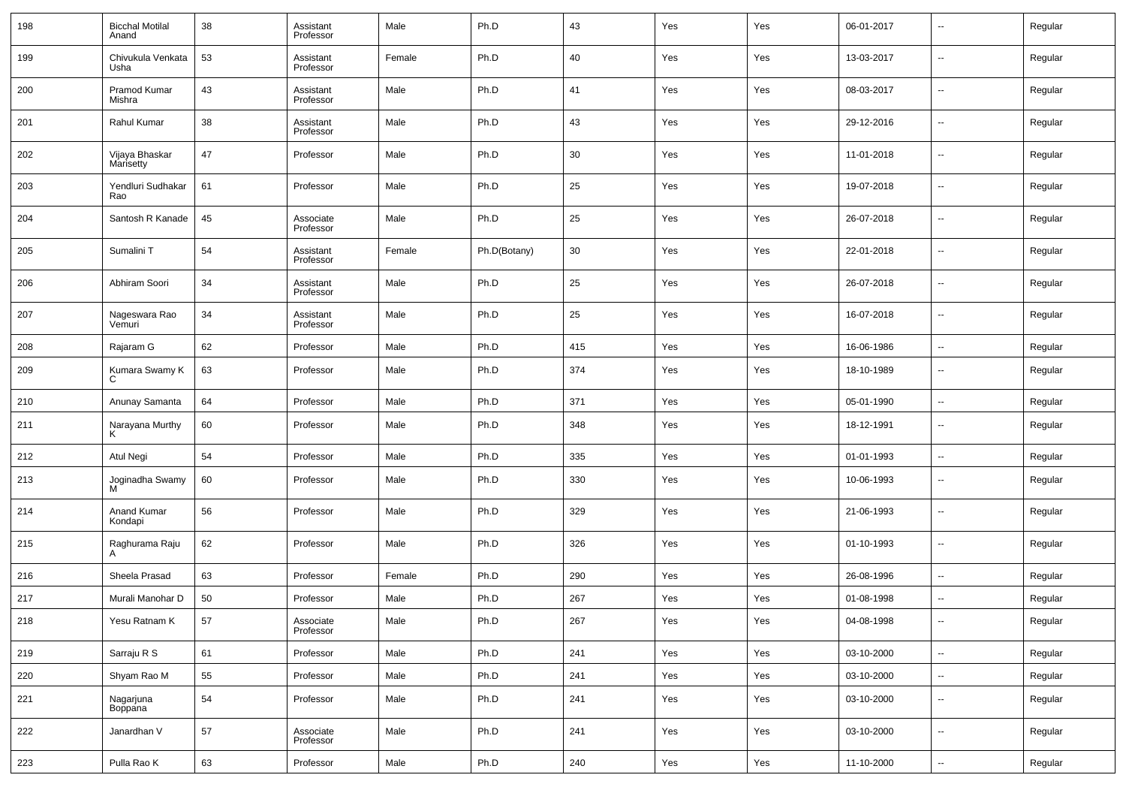| 198 | <b>Bicchal Motilal</b><br>Anand | 38 | Assistant<br>Professor | Male   | Ph.D         | 43  | Yes | Yes | 06-01-2017 | --                       | Regular |
|-----|---------------------------------|----|------------------------|--------|--------------|-----|-----|-----|------------|--------------------------|---------|
| 199 | Chivukula Venkata<br>Usha       | 53 | Assistant<br>Professor | Female | Ph.D         | 40  | Yes | Yes | 13-03-2017 | $\overline{\phantom{a}}$ | Regular |
| 200 | Pramod Kumar<br>Mishra          | 43 | Assistant<br>Professor | Male   | Ph.D         | 41  | Yes | Yes | 08-03-2017 | $\overline{\phantom{a}}$ | Regular |
| 201 | Rahul Kumar                     | 38 | Assistant<br>Professor | Male   | Ph.D         | 43  | Yes | Yes | 29-12-2016 | --                       | Regular |
| 202 | Vijaya Bhaskar<br>Marisetty     | 47 | Professor              | Male   | Ph.D         | 30  | Yes | Yes | 11-01-2018 | $\overline{\phantom{a}}$ | Regular |
| 203 | Yendluri Sudhakar<br>Rao        | 61 | Professor              | Male   | Ph.D         | 25  | Yes | Yes | 19-07-2018 | $\overline{\phantom{a}}$ | Regular |
| 204 | Santosh R Kanade                | 45 | Associate<br>Professor | Male   | Ph.D         | 25  | Yes | Yes | 26-07-2018 | $\overline{\phantom{a}}$ | Regular |
| 205 | Sumalini T                      | 54 | Assistant<br>Professor | Female | Ph.D(Botany) | 30  | Yes | Yes | 22-01-2018 | $\overline{\phantom{a}}$ | Regular |
| 206 | Abhiram Soori                   | 34 | Assistant<br>Professor | Male   | Ph.D         | 25  | Yes | Yes | 26-07-2018 | --                       | Regular |
| 207 | Nageswara Rao<br>Vemuri         | 34 | Assistant<br>Professor | Male   | Ph.D         | 25  | Yes | Yes | 16-07-2018 | $\overline{\phantom{a}}$ | Regular |
| 208 | Rajaram G                       | 62 | Professor              | Male   | Ph.D         | 415 | Yes | Yes | 16-06-1986 | $\overline{\phantom{a}}$ | Regular |
| 209 | Kumara Swamy K<br>C             | 63 | Professor              | Male   | Ph.D         | 374 | Yes | Yes | 18-10-1989 | $\overline{\phantom{a}}$ | Regular |
| 210 | Anunay Samanta                  | 64 | Professor              | Male   | Ph.D         | 371 | Yes | Yes | 05-01-1990 | $\overline{\phantom{a}}$ | Regular |
| 211 | Narayana Murthy<br>K            | 60 | Professor              | Male   | Ph.D         | 348 | Yes | Yes | 18-12-1991 | $\overline{\phantom{a}}$ | Regular |
| 212 | Atul Negi                       | 54 | Professor              | Male   | Ph.D         | 335 | Yes | Yes | 01-01-1993 | $\overline{\phantom{a}}$ | Regular |
| 213 | Joginadha Swamy<br>M            | 60 | Professor              | Male   | Ph.D         | 330 | Yes | Yes | 10-06-1993 | --                       | Regular |
| 214 | Anand Kumar<br>Kondapi          | 56 | Professor              | Male   | Ph.D         | 329 | Yes | Yes | 21-06-1993 | --                       | Regular |
| 215 | Raghurama Raju<br>A             | 62 | Professor              | Male   | Ph.D         | 326 | Yes | Yes | 01-10-1993 | --                       | Regular |
| 216 | Sheela Prasad                   | 63 | Professor              | Female | Ph.D         | 290 | Yes | Yes | 26-08-1996 | --                       | Regular |
| 217 | Murali Manohar D                | 50 | Professor              | Male   | Ph.D         | 267 | Yes | Yes | 01-08-1998 | $\overline{\phantom{a}}$ | Regular |
| 218 | Yesu Ratnam K                   | 57 | Associate<br>Professor | Male   | Ph.D         | 267 | Yes | Yes | 04-08-1998 | $\overline{\phantom{a}}$ | Regular |
| 219 | Sarraju R S                     | 61 | Professor              | Male   | Ph.D         | 241 | Yes | Yes | 03-10-2000 | $\overline{\phantom{a}}$ | Regular |
| 220 | Shyam Rao M                     | 55 | Professor              | Male   | Ph.D         | 241 | Yes | Yes | 03-10-2000 | $\overline{\phantom{a}}$ | Regular |
| 221 | Nagarjuna<br>Boppana            | 54 | Professor              | Male   | Ph.D         | 241 | Yes | Yes | 03-10-2000 | $\overline{\phantom{a}}$ | Regular |
| 222 | Janardhan V                     | 57 | Associate<br>Professor | Male   | Ph.D         | 241 | Yes | Yes | 03-10-2000 | ۰.                       | Regular |
| 223 | Pulla Rao K                     | 63 | Professor              | Male   | Ph.D         | 240 | Yes | Yes | 11-10-2000 | ۰.                       | Regular |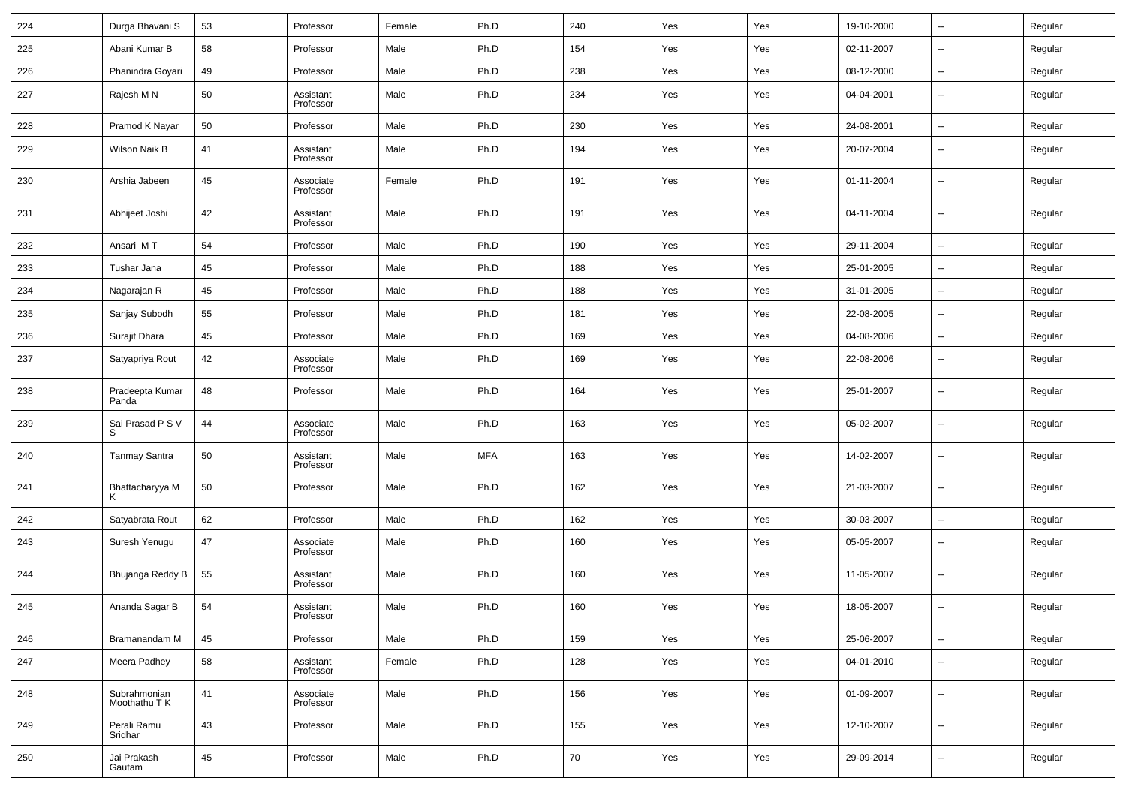| 224 | Durga Bhavani S               | 53 | Professor              | Female | Ph.D       | 240 | Yes | Yes | 19-10-2000 | $\ddotsc$                | Regular |
|-----|-------------------------------|----|------------------------|--------|------------|-----|-----|-----|------------|--------------------------|---------|
| 225 | Abani Kumar B                 | 58 | Professor              | Male   | Ph.D       | 154 | Yes | Yes | 02-11-2007 | $\overline{\phantom{a}}$ | Regular |
| 226 | Phanindra Goyari              | 49 | Professor              | Male   | Ph.D       | 238 | Yes | Yes | 08-12-2000 | $\overline{\phantom{a}}$ | Regular |
| 227 | Rajesh M N                    | 50 | Assistant<br>Professor | Male   | Ph.D       | 234 | Yes | Yes | 04-04-2001 | $\overline{\phantom{a}}$ | Regular |
| 228 | Pramod K Nayar                | 50 | Professor              | Male   | Ph.D       | 230 | Yes | Yes | 24-08-2001 | $\overline{\phantom{a}}$ | Regular |
| 229 | Wilson Naik B                 | 41 | Assistant<br>Professor | Male   | Ph.D       | 194 | Yes | Yes | 20-07-2004 | $\overline{\phantom{a}}$ | Regular |
| 230 | Arshia Jabeen                 | 45 | Associate<br>Professor | Female | Ph.D       | 191 | Yes | Yes | 01-11-2004 | $\overline{\phantom{a}}$ | Regular |
| 231 | Abhijeet Joshi                | 42 | Assistant<br>Professor | Male   | Ph.D       | 191 | Yes | Yes | 04-11-2004 | ۰.                       | Regular |
| 232 | Ansari MT                     | 54 | Professor              | Male   | Ph.D       | 190 | Yes | Yes | 29-11-2004 | $\overline{\phantom{a}}$ | Regular |
| 233 | Tushar Jana                   | 45 | Professor              | Male   | Ph.D       | 188 | Yes | Yes | 25-01-2005 | --                       | Regular |
| 234 | Nagarajan R                   | 45 | Professor              | Male   | Ph.D       | 188 | Yes | Yes | 31-01-2005 | ۰.                       | Regular |
| 235 | Sanjay Subodh                 | 55 | Professor              | Male   | Ph.D       | 181 | Yes | Yes | 22-08-2005 | ۰.                       | Regular |
| 236 | Surajit Dhara                 | 45 | Professor              | Male   | Ph.D       | 169 | Yes | Yes | 04-08-2006 | $\overline{\phantom{a}}$ | Regular |
| 237 | Satyapriya Rout               | 42 | Associate<br>Professor | Male   | Ph.D       | 169 | Yes | Yes | 22-08-2006 | --                       | Regular |
| 238 | Pradeepta Kumar<br>Panda      | 48 | Professor              | Male   | Ph.D       | 164 | Yes | Yes | 25-01-2007 | $\overline{\phantom{a}}$ | Regular |
| 239 | Sai Prasad P S V<br>S         | 44 | Associate<br>Professor | Male   | Ph.D       | 163 | Yes | Yes | 05-02-2007 | $\sim$                   | Regular |
| 240 | <b>Tanmay Santra</b>          | 50 | Assistant<br>Professor | Male   | <b>MFA</b> | 163 | Yes | Yes | 14-02-2007 | $\overline{\phantom{a}}$ | Regular |
| 241 | Bhattacharyya M               | 50 | Professor              | Male   | Ph.D       | 162 | Yes | Yes | 21-03-2007 | $\overline{\phantom{a}}$ | Regular |
| 242 | Satyabrata Rout               | 62 | Professor              | Male   | Ph.D       | 162 | Yes | Yes | 30-03-2007 | $\overline{\phantom{a}}$ | Regular |
| 243 | Suresh Yenugu                 | 47 | Associate<br>Professor | Male   | Ph.D       | 160 | Yes | Yes | 05-05-2007 | $\overline{\phantom{a}}$ | Regular |
| 244 | Bhujanga Reddy B              | 55 | Assistant<br>Professor | Male   | Ph.D       | 160 | Yes | Yes | 11-05-2007 | $\overline{\phantom{a}}$ | Regular |
| 245 | Ananda Sagar B                | 54 | Assistant<br>Professor | Male   | Ph.D       | 160 | Yes | Yes | 18-05-2007 | $\overline{\phantom{a}}$ | Regular |
| 246 | Bramanandam M                 | 45 | Professor              | Male   | Ph.D       | 159 | Yes | Yes | 25-06-2007 | $\overline{\phantom{a}}$ | Regular |
| 247 | Meera Padhey                  | 58 | Assistant<br>Professor | Female | Ph.D       | 128 | Yes | Yes | 04-01-2010 | $\overline{\phantom{a}}$ | Regular |
| 248 | Subrahmonian<br>Moothathu T K | 41 | Associate<br>Professor | Male   | Ph.D       | 156 | Yes | Yes | 01-09-2007 | $\overline{\phantom{a}}$ | Regular |
| 249 | Perali Ramu<br>Sridhar        | 43 | Professor              | Male   | Ph.D       | 155 | Yes | Yes | 12-10-2007 | $\overline{\phantom{a}}$ | Regular |
| 250 | Jai Prakash<br>Gautam         | 45 | Professor              | Male   | Ph.D       | 70  | Yes | Yes | 29-09-2014 | $\overline{\phantom{a}}$ | Regular |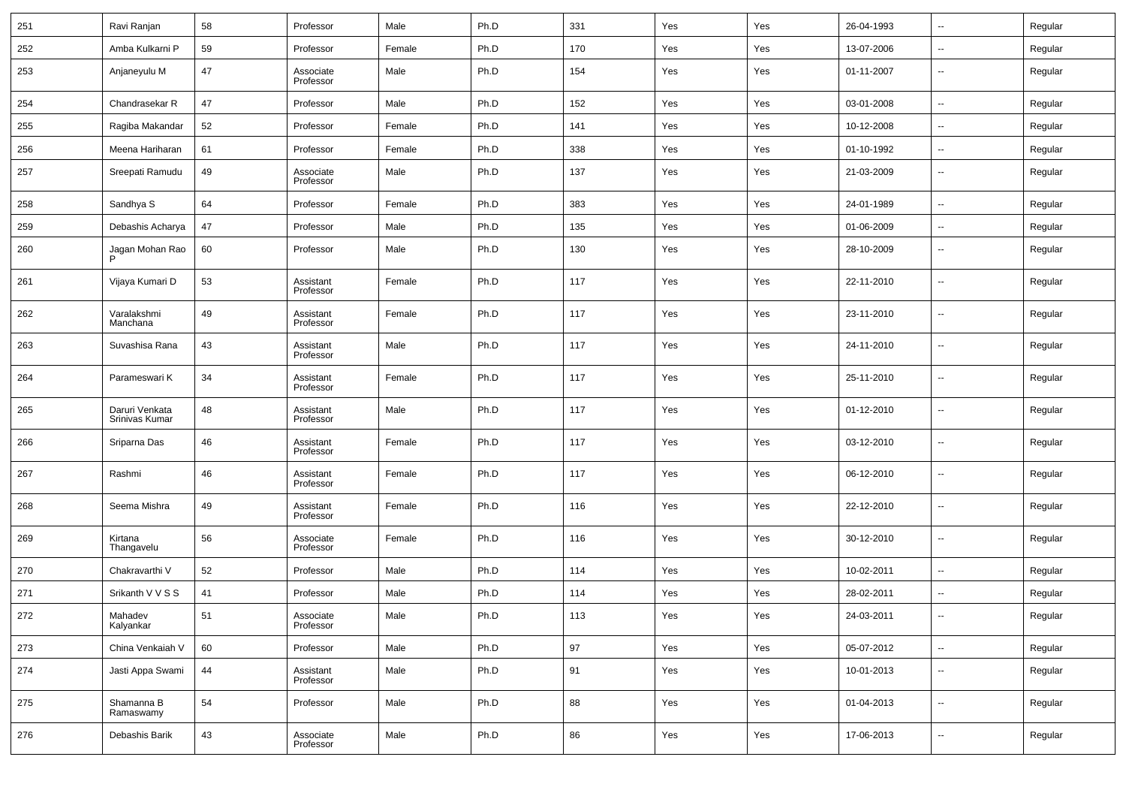| 251 | Ravi Ranjan                      | 58 | Professor              | Male   | Ph.D | 331    | Yes | Yes | 26-04-1993 | $\sim$                   | Regular |
|-----|----------------------------------|----|------------------------|--------|------|--------|-----|-----|------------|--------------------------|---------|
| 252 | Amba Kulkarni P                  | 59 | Professor              | Female | Ph.D | 170    | Yes | Yes | 13-07-2006 | --                       | Regular |
| 253 | Anjaneyulu M                     | 47 | Associate<br>Professor | Male   | Ph.D | 154    | Yes | Yes | 01-11-2007 | $\sim$                   | Regular |
| 254 | Chandrasekar R                   | 47 | Professor              | Male   | Ph.D | 152    | Yes | Yes | 03-01-2008 | $\ddotsc$                | Regular |
| 255 | Ragiba Makandar                  | 52 | Professor              | Female | Ph.D | 141    | Yes | Yes | 10-12-2008 | $\ddotsc$                | Regular |
| 256 | Meena Hariharan                  | 61 | Professor              | Female | Ph.D | 338    | Yes | Yes | 01-10-1992 | $\overline{\phantom{a}}$ | Regular |
| 257 | Sreepati Ramudu                  | 49 | Associate<br>Professor | Male   | Ph.D | 137    | Yes | Yes | 21-03-2009 | $\sim$                   | Regular |
| 258 | Sandhya S                        | 64 | Professor              | Female | Ph.D | 383    | Yes | Yes | 24-01-1989 | $\ddotsc$                | Regular |
| 259 | Debashis Acharya                 | 47 | Professor              | Male   | Ph.D | 135    | Yes | Yes | 01-06-2009 | $\sim$                   | Regular |
| 260 | Jagan Mohan Rao                  | 60 | Professor              | Male   | Ph.D | 130    | Yes | Yes | 28-10-2009 | --                       | Regular |
| 261 | Vijaya Kumari D                  | 53 | Assistant<br>Professor | Female | Ph.D | 117    | Yes | Yes | 22-11-2010 | --                       | Regular |
| 262 | Varalakshmi<br>Manchana          | 49 | Assistant<br>Professor | Female | Ph.D | 117    | Yes | Yes | 23-11-2010 | --                       | Regular |
| 263 | Suvashisa Rana                   | 43 | Assistant<br>Professor | Male   | Ph.D | 117    | Yes | Yes | 24-11-2010 | $\overline{\phantom{a}}$ | Regular |
| 264 | Parameswari K                    | 34 | Assistant<br>Professor | Female | Ph.D | 117    | Yes | Yes | 25-11-2010 | --                       | Regular |
| 265 | Daruri Venkata<br>Srinivas Kumar | 48 | Assistant<br>Professor | Male   | Ph.D | 117    | Yes | Yes | 01-12-2010 | $\ddotsc$                | Regular |
| 266 | Sriparna Das                     | 46 | Assistant<br>Professor | Female | Ph.D | 117    | Yes | Yes | 03-12-2010 | --                       | Regular |
| 267 | Rashmi                           | 46 | Assistant<br>Professor | Female | Ph.D | 117    | Yes | Yes | 06-12-2010 | $\sim$                   | Regular |
| 268 | Seema Mishra                     | 49 | Assistant<br>Professor | Female | Ph.D | 116    | Yes | Yes | 22-12-2010 | $\ddotsc$                | Regular |
| 269 | Kirtana<br>Thangavelu            | 56 | Associate<br>Professor | Female | Ph.D | 116    | Yes | Yes | 30-12-2010 | --                       | Regular |
| 270 | Chakravarthi V                   | 52 | Professor              | Male   | Ph.D | 114    | Yes | Yes | 10-02-2011 | $\sim$                   | Regular |
| 271 | Srikanth V V S S                 | 41 | Professor              | Male   | Ph.D | 114    | Yes | Yes | 28-02-2011 | $\ddotsc$                | Regular |
| 272 | Mahadev<br>Kalyankar             | 51 | Associate<br>Professor | Male   | Ph.D | 113    | Yes | Yes | 24-03-2011 |                          | Regular |
| 273 | China Venkaiah V                 | 60 | Professor              | Male   | Ph.D | $97\,$ | Yes | Yes | 05-07-2012 | $\sim$                   | Regular |
| 274 | Jasti Appa Swami                 | 44 | Assistant<br>Professor | Male   | Ph.D | 91     | Yes | Yes | 10-01-2013 | $\ddotsc$                | Regular |
| 275 | Shamanna B<br>Ramaswamy          | 54 | Professor              | Male   | Ph.D | 88     | Yes | Yes | 01-04-2013 | $\ddot{\phantom{a}}$     | Regular |
| 276 | Debashis Barik                   | 43 | Associate<br>Professor | Male   | Ph.D | 86     | Yes | Yes | 17-06-2013 | $\overline{\phantom{a}}$ | Regular |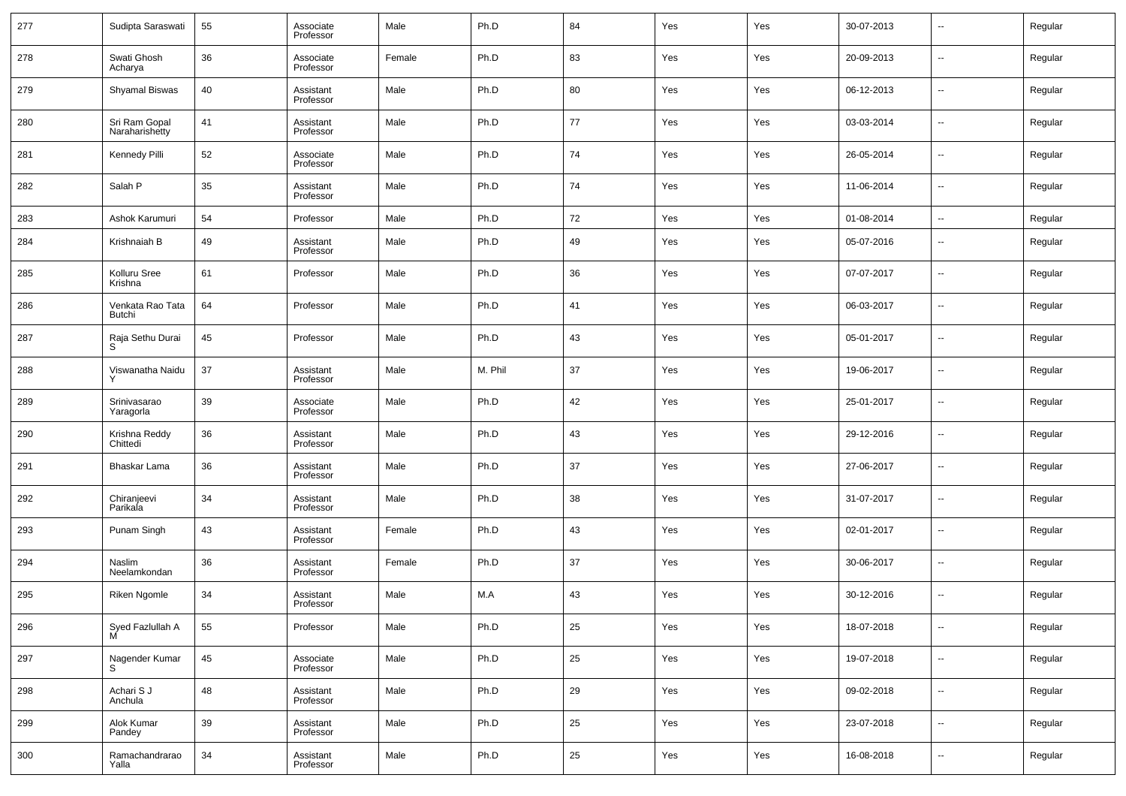| 277 | Sudipta Saraswati               | 55 | Associate<br>Professor | Male   | Ph.D    | 84     | Yes | Yes | 30-07-2013 | $\overline{\phantom{a}}$ | Regular |
|-----|---------------------------------|----|------------------------|--------|---------|--------|-----|-----|------------|--------------------------|---------|
| 278 | Swati Ghosh<br>Acharya          | 36 | Associate<br>Professor | Female | Ph.D    | 83     | Yes | Yes | 20-09-2013 | $\overline{\phantom{a}}$ | Regular |
| 279 | Shyamal Biswas                  | 40 | Assistant<br>Professor | Male   | Ph.D    | 80     | Yes | Yes | 06-12-2013 | $\overline{\phantom{a}}$ | Regular |
| 280 | Sri Ram Gopal<br>Naraharishetty | 41 | Assistant<br>Professor | Male   | Ph.D    | 77     | Yes | Yes | 03-03-2014 | --                       | Regular |
| 281 | Kennedy Pilli                   | 52 | Associate<br>Professor | Male   | Ph.D    | 74     | Yes | Yes | 26-05-2014 | $\overline{\phantom{a}}$ | Regular |
| 282 | Salah P                         | 35 | Assistant<br>Professor | Male   | Ph.D    | 74     | Yes | Yes | 11-06-2014 | $\overline{\phantom{a}}$ | Regular |
| 283 | Ashok Karumuri                  | 54 | Professor              | Male   | Ph.D    | 72     | Yes | Yes | 01-08-2014 | $\overline{\phantom{a}}$ | Regular |
| 284 | Krishnaiah B                    | 49 | Assistant<br>Professor | Male   | Ph.D    | 49     | Yes | Yes | 05-07-2016 | $\overline{\phantom{a}}$ | Regular |
| 285 | Kolluru Sree<br>Krishna         | 61 | Professor              | Male   | Ph.D    | 36     | Yes | Yes | 07-07-2017 | $\overline{\phantom{a}}$ | Regular |
| 286 | Venkata Rao Tata<br>Butchi      | 64 | Professor              | Male   | Ph.D    | 41     | Yes | Yes | 06-03-2017 | $\overline{\phantom{a}}$ | Regular |
| 287 | Raja Sethu Durai<br>S           | 45 | Professor              | Male   | Ph.D    | 43     | Yes | Yes | 05-01-2017 | $\overline{\phantom{a}}$ | Regular |
| 288 | Viswanatha Naidu<br>Υ           | 37 | Assistant<br>Professor | Male   | M. Phil | 37     | Yes | Yes | 19-06-2017 | $\overline{\phantom{a}}$ | Regular |
| 289 | Srinivasarao<br>Yaragorla       | 39 | Associate<br>Professor | Male   | Ph.D    | 42     | Yes | Yes | 25-01-2017 | $\overline{\phantom{a}}$ | Regular |
| 290 | Krishna Reddy<br>Chittedi       | 36 | Assistant<br>Professor | Male   | Ph.D    | 43     | Yes | Yes | 29-12-2016 | $\overline{\phantom{a}}$ | Regular |
| 291 | Bhaskar Lama                    | 36 | Assistant<br>Professor | Male   | Ph.D    | 37     | Yes | Yes | 27-06-2017 | $\overline{\phantom{a}}$ | Regular |
| 292 | Chiranjeevi<br>Parikala         | 34 | Assistant<br>Professor | Male   | Ph.D    | 38     | Yes | Yes | 31-07-2017 | $\overline{\phantom{a}}$ | Regular |
| 293 | Punam Singh                     | 43 | Assistant<br>Professor | Female | Ph.D    | 43     | Yes | Yes | 02-01-2017 | $\overline{\phantom{a}}$ | Regular |
| 294 | Naslim<br>Neelamkondan          | 36 | Assistant<br>Professor | Female | Ph.D    | 37     | Yes | Yes | 30-06-2017 | $\overline{\phantom{a}}$ | Regular |
| 295 | Riken Ngomle                    | 34 | Assistant<br>Professor | Male   | M.A     | 43     | Yes | Yes | 30-12-2016 | $\overline{\phantom{a}}$ | Regular |
| 296 | Syed Fazlullah A<br>M           | 55 | Professor              | Male   | Ph.D    | 25     | Yes | Yes | 18-07-2018 | ۰.                       | Regular |
| 297 | Nagender Kumar<br>S             | 45 | Associate<br>Professor | Male   | Ph.D    | $25\,$ | Yes | Yes | 19-07-2018 | ۰.                       | Regular |
| 298 | Achari S J<br>Anchula           | 48 | Assistant<br>Professor | Male   | Ph.D    | 29     | Yes | Yes | 09-02-2018 | ۰.                       | Regular |
| 299 | Alok Kumar<br>Pandey            | 39 | Assistant<br>Professor | Male   | Ph.D    | $25\,$ | Yes | Yes | 23-07-2018 | ۰.                       | Regular |
| 300 | Ramachandrarao<br>Yalla         | 34 | Assistant<br>Professor | Male   | Ph.D    | 25     | Yes | Yes | 16-08-2018 | $\overline{\phantom{a}}$ | Regular |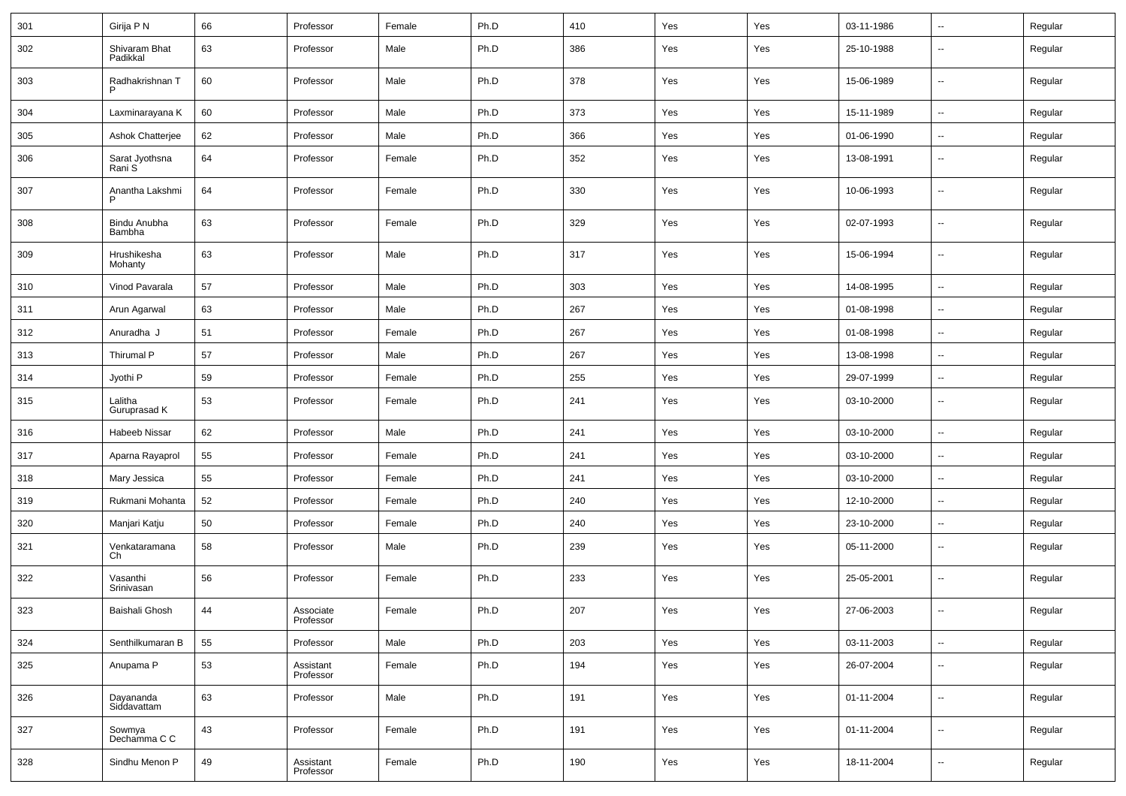| 301 | Girija P N                | 66 | Professor              | Female | Ph.D | 410 | Yes | Yes | 03-11-1986 | $\overline{\phantom{a}}$ | Regular |
|-----|---------------------------|----|------------------------|--------|------|-----|-----|-----|------------|--------------------------|---------|
| 302 | Shivaram Bhat<br>Padikkal | 63 | Professor              | Male   | Ph.D | 386 | Yes | Yes | 25-10-1988 | $\overline{\phantom{a}}$ | Regular |
| 303 | Radhakrishnan T<br>P      | 60 | Professor              | Male   | Ph.D | 378 | Yes | Yes | 15-06-1989 | $\overline{\phantom{a}}$ | Regular |
| 304 | Laxminarayana K           | 60 | Professor              | Male   | Ph.D | 373 | Yes | Yes | 15-11-1989 | $\overline{\phantom{a}}$ | Regular |
| 305 | Ashok Chatterjee          | 62 | Professor              | Male   | Ph.D | 366 | Yes | Yes | 01-06-1990 | $\overline{\phantom{a}}$ | Regular |
| 306 | Sarat Jyothsna<br>Rani S  | 64 | Professor              | Female | Ph.D | 352 | Yes | Yes | 13-08-1991 | $\overline{\phantom{a}}$ | Regular |
| 307 | Anantha Lakshmi<br>P      | 64 | Professor              | Female | Ph.D | 330 | Yes | Yes | 10-06-1993 | $\overline{\phantom{a}}$ | Regular |
| 308 | Bindu Anubha<br>Bambha    | 63 | Professor              | Female | Ph.D | 329 | Yes | Yes | 02-07-1993 | $\overline{\phantom{a}}$ | Regular |
| 309 | Hrushikesha<br>Mohanty    | 63 | Professor              | Male   | Ph.D | 317 | Yes | Yes | 15-06-1994 | $\overline{\phantom{a}}$ | Regular |
| 310 | Vinod Pavarala            | 57 | Professor              | Male   | Ph.D | 303 | Yes | Yes | 14-08-1995 | $\overline{\phantom{a}}$ | Regular |
| 311 | Arun Agarwal              | 63 | Professor              | Male   | Ph.D | 267 | Yes | Yes | 01-08-1998 | $\overline{\phantom{a}}$ | Regular |
| 312 | Anuradha J                | 51 | Professor              | Female | Ph.D | 267 | Yes | Yes | 01-08-1998 | ۰.                       | Regular |
| 313 | Thirumal P                | 57 | Professor              | Male   | Ph.D | 267 | Yes | Yes | 13-08-1998 | ۰.                       | Regular |
| 314 | Jyothi P                  | 59 | Professor              | Female | Ph.D | 255 | Yes | Yes | 29-07-1999 | $\overline{\phantom{a}}$ | Regular |
| 315 | Lalitha<br>Guruprasad K   | 53 | Professor              | Female | Ph.D | 241 | Yes | Yes | 03-10-2000 | $\overline{\phantom{a}}$ | Regular |
| 316 | Habeeb Nissar             | 62 | Professor              | Male   | Ph.D | 241 | Yes | Yes | 03-10-2000 | $\ddotsc$                | Regular |
| 317 | Aparna Rayaprol           | 55 | Professor              | Female | Ph.D | 241 | Yes | Yes | 03-10-2000 | $\overline{\phantom{a}}$ | Regular |
| 318 | Mary Jessica              | 55 | Professor              | Female | Ph.D | 241 | Yes | Yes | 03-10-2000 | $\overline{\phantom{a}}$ | Regular |
| 319 | Rukmani Mohanta           | 52 | Professor              | Female | Ph.D | 240 | Yes | Yes | 12-10-2000 | ۰.                       | Regular |
| 320 | Manjari Katju             | 50 | Professor              | Female | Ph.D | 240 | Yes | Yes | 23-10-2000 | $\overline{\phantom{a}}$ | Regular |
| 321 | Venkataramana<br>Ch       | 58 | Professor              | Male   | Ph.D | 239 | Yes | Yes | 05-11-2000 | $\overline{\phantom{a}}$ | Regular |
| 322 | Vasanthi<br>Srinivasan    | 56 | Professor              | Female | Ph.D | 233 | Yes | Yes | 25-05-2001 | $\overline{\phantom{a}}$ | Regular |
| 323 | Baishali Ghosh            | 44 | Associate<br>Professor | Female | Ph.D | 207 | Yes | Yes | 27-06-2003 | $\overline{\phantom{a}}$ | Regular |
| 324 | Senthilkumaran B          | 55 | Professor              | Male   | Ph.D | 203 | Yes | Yes | 03-11-2003 | ۰.                       | Regular |
| 325 | Anupama P                 | 53 | Assistant<br>Professor | Female | Ph.D | 194 | Yes | Yes | 26-07-2004 | $\overline{\phantom{a}}$ | Regular |
| 326 | Dayananda<br>Siddavattam  | 63 | Professor              | Male   | Ph.D | 191 | Yes | Yes | 01-11-2004 | $\overline{\phantom{a}}$ | Regular |
| 327 | Sowmya<br>Dechamma C C    | 43 | Professor              | Female | Ph.D | 191 | Yes | Yes | 01-11-2004 | ۰.                       | Regular |
| 328 | Sindhu Menon P            | 49 | Assistant<br>Professor | Female | Ph.D | 190 | Yes | Yes | 18-11-2004 | $\overline{\phantom{a}}$ | Regular |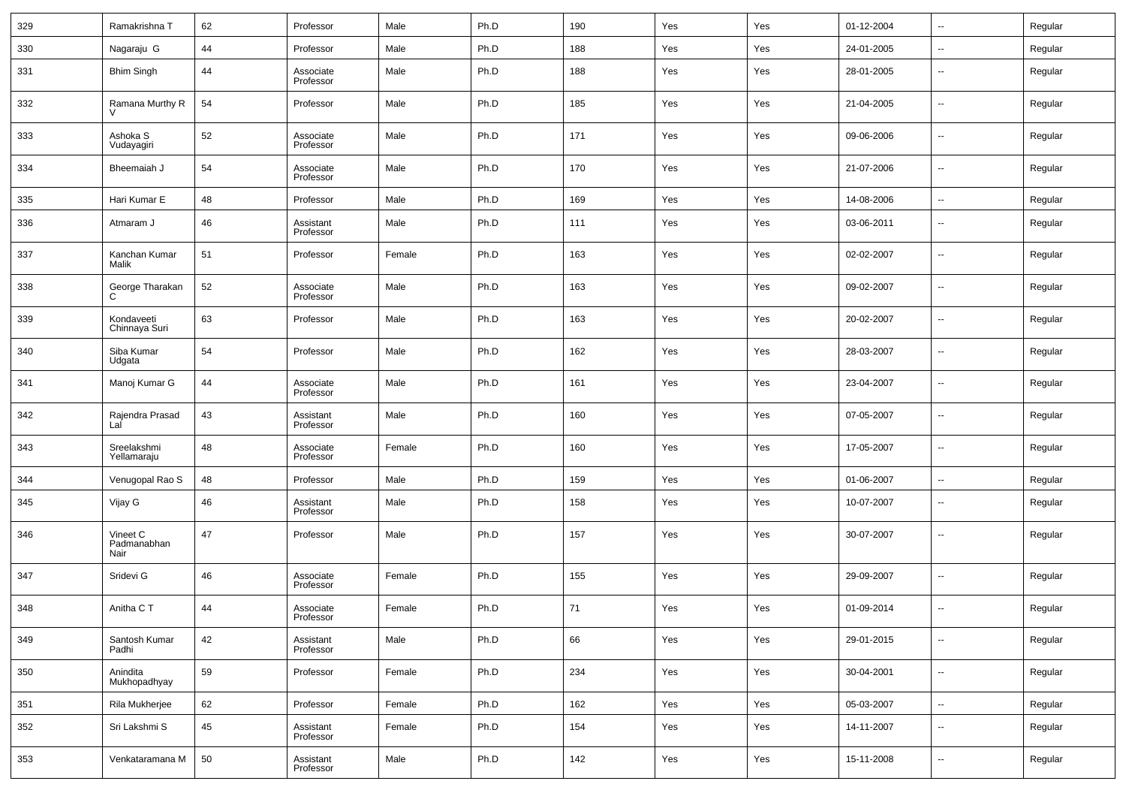| 329 | Ramakrishna T                   | 62 | Professor              | Male   | Ph.D | 190 | Yes | Yes | 01-12-2004 | $\overline{\phantom{a}}$ | Regular |
|-----|---------------------------------|----|------------------------|--------|------|-----|-----|-----|------------|--------------------------|---------|
| 330 | Nagaraju G                      | 44 | Professor              | Male   | Ph.D | 188 | Yes | Yes | 24-01-2005 | $\sim$                   | Regular |
| 331 | <b>Bhim Singh</b>               | 44 | Associate<br>Professor | Male   | Ph.D | 188 | Yes | Yes | 28-01-2005 | $\overline{\phantom{a}}$ | Regular |
| 332 | Ramana Murthy R                 | 54 | Professor              | Male   | Ph.D | 185 | Yes | Yes | 21-04-2005 | $\overline{\phantom{a}}$ | Regular |
| 333 | Ashoka S<br>Vudayagiri          | 52 | Associate<br>Professor | Male   | Ph.D | 171 | Yes | Yes | 09-06-2006 | $\overline{\phantom{a}}$ | Regular |
| 334 | Bheemaiah J                     | 54 | Associate<br>Professor | Male   | Ph.D | 170 | Yes | Yes | 21-07-2006 | $\overline{\phantom{a}}$ | Regular |
| 335 | Hari Kumar E                    | 48 | Professor              | Male   | Ph.D | 169 | Yes | Yes | 14-08-2006 | $\overline{\phantom{a}}$ | Regular |
| 336 | Atmaram J                       | 46 | Assistant<br>Professor | Male   | Ph.D | 111 | Yes | Yes | 03-06-2011 | --                       | Regular |
| 337 | Kanchan Kumar<br>Malik          | 51 | Professor              | Female | Ph.D | 163 | Yes | Yes | 02-02-2007 | --                       | Regular |
| 338 | George Tharakan<br>C            | 52 | Associate<br>Professor | Male   | Ph.D | 163 | Yes | Yes | 09-02-2007 | --                       | Regular |
| 339 | Kondaveeti<br>Chinnaya Suri     | 63 | Professor              | Male   | Ph.D | 163 | Yes | Yes | 20-02-2007 | --                       | Regular |
| 340 | Siba Kumar<br>Udgata            | 54 | Professor              | Male   | Ph.D | 162 | Yes | Yes | 28-03-2007 | --                       | Regular |
| 341 | Manoj Kumar G                   | 44 | Associate<br>Professor | Male   | Ph.D | 161 | Yes | Yes | 23-04-2007 | --                       | Regular |
| 342 | Rajendra Prasad<br>Lal          | 43 | Assistant<br>Professor | Male   | Ph.D | 160 | Yes | Yes | 07-05-2007 | --                       | Regular |
| 343 | Sreelakshmi<br>Yellamaraju      | 48 | Associate<br>Professor | Female | Ph.D | 160 | Yes | Yes | 17-05-2007 | --                       | Regular |
| 344 | Venugopal Rao S                 | 48 | Professor              | Male   | Ph.D | 159 | Yes | Yes | 01-06-2007 | --                       | Regular |
| 345 | Vijay G                         | 46 | Assistant<br>Professor | Male   | Ph.D | 158 | Yes | Yes | 10-07-2007 | --                       | Regular |
| 346 | Vineet C<br>Padmanabhan<br>Nair | 47 | Professor              | Male   | Ph.D | 157 | Yes | Yes | 30-07-2007 | --                       | Regular |
| 347 | Sridevi G                       | 46 | Associate<br>Professor | Female | Ph.D | 155 | Yes | Yes | 29-09-2007 | --                       | Regular |
| 348 | Anitha C T                      | 44 | Associate<br>Professor | Female | Ph.D | 71  | Yes | Yes | 01-09-2014 | --                       | Regular |
| 349 | Santosh Kumar<br>Padhi          | 42 | Assistant<br>Professor | Male   | Ph.D | 66  | Yes | Yes | 29-01-2015 | $\overline{\phantom{a}}$ | Regular |
| 350 | Anindita<br>Mukhopadhyay        | 59 | Professor              | Female | Ph.D | 234 | Yes | Yes | 30-04-2001 | $\sim$                   | Regular |
| 351 | Rila Mukherjee                  | 62 | Professor              | Female | Ph.D | 162 | Yes | Yes | 05-03-2007 | $\overline{\phantom{a}}$ | Regular |
| 352 | Sri Lakshmi S                   | 45 | Assistant<br>Professor | Female | Ph.D | 154 | Yes | Yes | 14-11-2007 | $\overline{\phantom{a}}$ | Regular |
| 353 | Venkataramana M                 | 50 | Assistant<br>Professor | Male   | Ph.D | 142 | Yes | Yes | 15-11-2008 | $\sim$                   | Regular |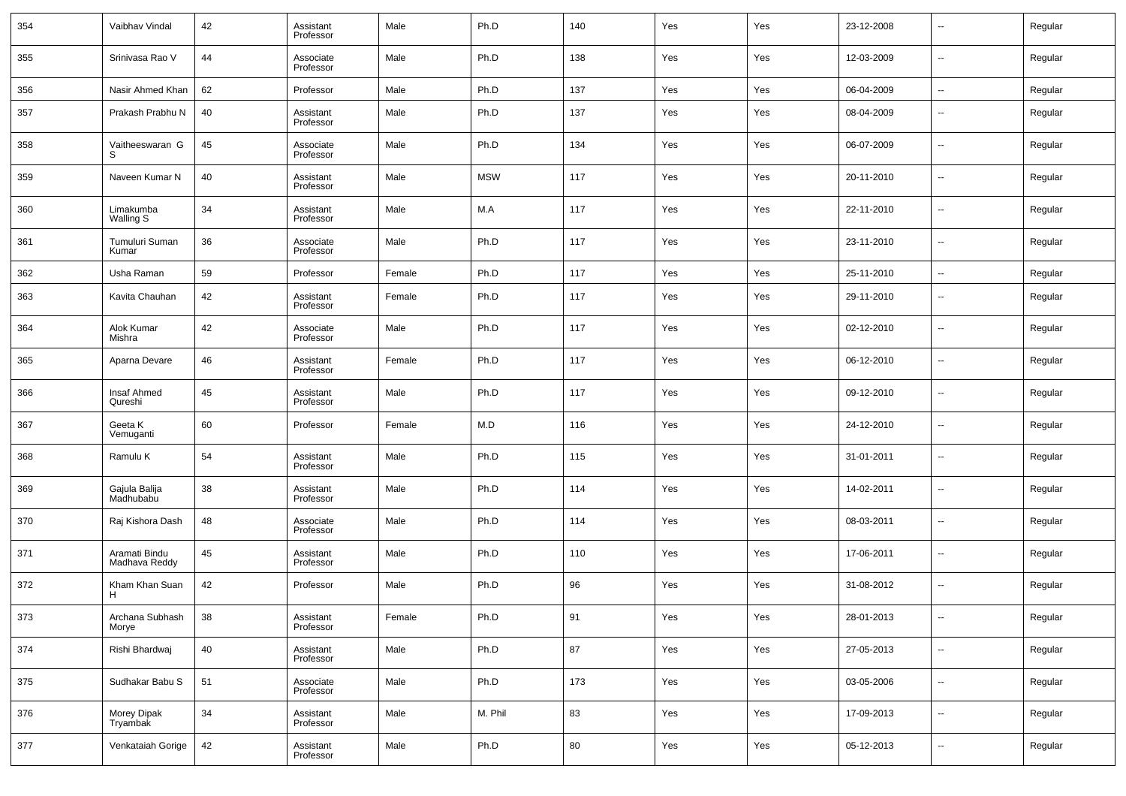| 354 | Vaibhav Vindal                 | 42 | Assistant<br>Professor | Male   | Ph.D       | 140 | Yes | Yes | 23-12-2008 | $\overline{\phantom{a}}$ | Regular |
|-----|--------------------------------|----|------------------------|--------|------------|-----|-----|-----|------------|--------------------------|---------|
| 355 | Srinivasa Rao V                | 44 | Associate<br>Professor | Male   | Ph.D       | 138 | Yes | Yes | 12-03-2009 | $\overline{\phantom{a}}$ | Regular |
| 356 | Nasir Ahmed Khan               | 62 | Professor              | Male   | Ph.D       | 137 | Yes | Yes | 06-04-2009 | $\overline{\phantom{a}}$ | Regular |
| 357 | Prakash Prabhu N               | 40 | Assistant<br>Professor | Male   | Ph.D       | 137 | Yes | Yes | 08-04-2009 | $\overline{\phantom{a}}$ | Regular |
| 358 | Vaitheeswaran G<br>S           | 45 | Associate<br>Professor | Male   | Ph.D       | 134 | Yes | Yes | 06-07-2009 | $\overline{\phantom{a}}$ | Regular |
| 359 | Naveen Kumar N                 | 40 | Assistant<br>Professor | Male   | <b>MSW</b> | 117 | Yes | Yes | 20-11-2010 | $\overline{\phantom{a}}$ | Regular |
| 360 | Limakumba<br>Walling S         | 34 | Assistant<br>Professor | Male   | M.A        | 117 | Yes | Yes | 22-11-2010 | $\overline{\phantom{a}}$ | Regular |
| 361 | Tumuluri Suman<br>Kumar        | 36 | Associate<br>Professor | Male   | Ph.D       | 117 | Yes | Yes | 23-11-2010 | $\overline{\phantom{a}}$ | Regular |
| 362 | Usha Raman                     | 59 | Professor              | Female | Ph.D       | 117 | Yes | Yes | 25-11-2010 | $\overline{\phantom{a}}$ | Regular |
| 363 | Kavita Chauhan                 | 42 | Assistant<br>Professor | Female | Ph.D       | 117 | Yes | Yes | 29-11-2010 | $\overline{\phantom{a}}$ | Regular |
| 364 | Alok Kumar<br>Mishra           | 42 | Associate<br>Professor | Male   | Ph.D       | 117 | Yes | Yes | 02-12-2010 | $\overline{\phantom{a}}$ | Regular |
| 365 | Aparna Devare                  | 46 | Assistant<br>Professor | Female | Ph.D       | 117 | Yes | Yes | 06-12-2010 | $\overline{\phantom{a}}$ | Regular |
| 366 | Insaf Ahmed<br>Qureshi         | 45 | Assistant<br>Professor | Male   | Ph.D       | 117 | Yes | Yes | 09-12-2010 | $\overline{\phantom{a}}$ | Regular |
| 367 | Geeta K<br>Vemuganti           | 60 | Professor              | Female | M.D        | 116 | Yes | Yes | 24-12-2010 | $\overline{\phantom{a}}$ | Regular |
| 368 | Ramulu K                       | 54 | Assistant<br>Professor | Male   | Ph.D       | 115 | Yes | Yes | 31-01-2011 | $\overline{\phantom{a}}$ | Regular |
| 369 | Gajula Balija<br>Madhubabu     | 38 | Assistant<br>Professor | Male   | Ph.D       | 114 | Yes | Yes | 14-02-2011 | $\overline{\phantom{a}}$ | Regular |
| 370 | Raj Kishora Dash               | 48 | Associate<br>Professor | Male   | Ph.D       | 114 | Yes | Yes | 08-03-2011 | $\overline{\phantom{a}}$ | Regular |
| 371 | Aramati Bindu<br>Madhava Reddy | 45 | Assistant<br>Professor | Male   | Ph.D       | 110 | Yes | Yes | 17-06-2011 | $\overline{\phantom{a}}$ | Regular |
| 372 | Kham Khan Suan<br>н            | 42 | Professor              | Male   | Ph.D       | 96  | Yes | Yes | 31-08-2012 | $\overline{\phantom{a}}$ | Regular |
| 373 | Archana Subhash<br>Morye       | 38 | Assistant<br>Professor | Female | Ph.D       | 91  | Yes | Yes | 28-01-2013 | $\overline{\phantom{a}}$ | Regular |
| 374 | Rishi Bhardwaj                 | 40 | Assistant<br>Professor | Male   | Ph.D       | 87  | Yes | Yes | 27-05-2013 | $\overline{\phantom{a}}$ | Regular |
| 375 | Sudhakar Babu S                | 51 | Associate<br>Professor | Male   | Ph.D       | 173 | Yes | Yes | 03-05-2006 | $\overline{\phantom{a}}$ | Regular |
| 376 | Morey Dipak<br>Tryambak        | 34 | Assistant<br>Professor | Male   | M. Phil    | 83  | Yes | Yes | 17-09-2013 | $\overline{\phantom{a}}$ | Regular |
| 377 | Venkataiah Gorige              | 42 | Assistant<br>Professor | Male   | Ph.D       | 80  | Yes | Yes | 05-12-2013 | ۰.                       | Regular |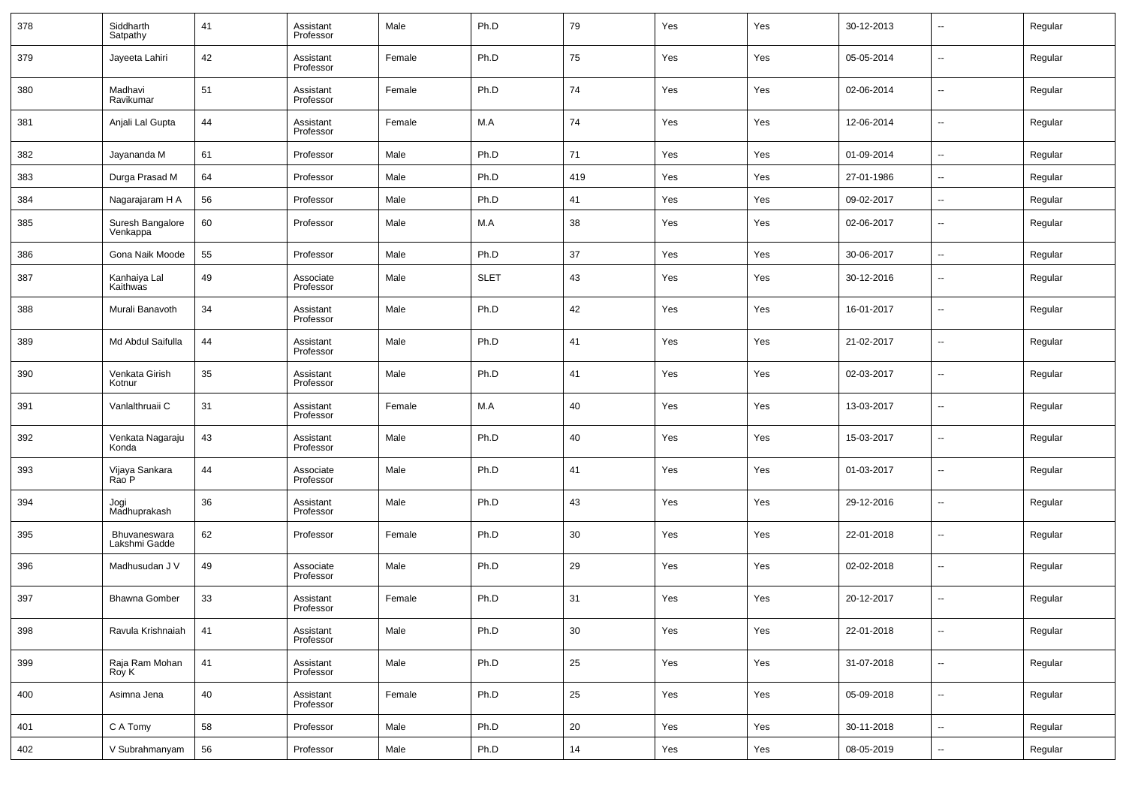| 378 | Siddharth<br>Satpathy         | 41 | Assistant<br>Professor | Male   | Ph.D        | 79  | Yes | Yes | 30-12-2013 | $\overline{\phantom{a}}$ | Regular |
|-----|-------------------------------|----|------------------------|--------|-------------|-----|-----|-----|------------|--------------------------|---------|
| 379 | Jayeeta Lahiri                | 42 | Assistant<br>Professor | Female | Ph.D        | 75  | Yes | Yes | 05-05-2014 | $\overline{\phantom{a}}$ | Regular |
| 380 | Madhavi<br>Ravikumar          | 51 | Assistant<br>Professor | Female | Ph.D        | 74  | Yes | Yes | 02-06-2014 | $\overline{\phantom{a}}$ | Regular |
| 381 | Anjali Lal Gupta              | 44 | Assistant<br>Professor | Female | M.A         | 74  | Yes | Yes | 12-06-2014 | $\overline{\phantom{a}}$ | Regular |
| 382 | Jayananda M                   | 61 | Professor              | Male   | Ph.D        | 71  | Yes | Yes | 01-09-2014 | $\overline{\phantom{a}}$ | Regular |
| 383 | Durga Prasad M                | 64 | Professor              | Male   | Ph.D        | 419 | Yes | Yes | 27-01-1986 | $\overline{\phantom{a}}$ | Regular |
| 384 | Nagarajaram H A               | 56 | Professor              | Male   | Ph.D        | 41  | Yes | Yes | 09-02-2017 | $\overline{\phantom{a}}$ | Regular |
| 385 | Suresh Bangalore<br>Venkappa  | 60 | Professor              | Male   | M.A         | 38  | Yes | Yes | 02-06-2017 | $\overline{\phantom{a}}$ | Regular |
| 386 | Gona Naik Moode               | 55 | Professor              | Male   | Ph.D        | 37  | Yes | Yes | 30-06-2017 | --                       | Regular |
| 387 | Kanhaiya Lal<br>Kaithwas      | 49 | Associate<br>Professor | Male   | <b>SLET</b> | 43  | Yes | Yes | 30-12-2016 | $\overline{\phantom{a}}$ | Regular |
| 388 | Murali Banavoth               | 34 | Assistant<br>Professor | Male   | Ph.D        | 42  | Yes | Yes | 16-01-2017 | --                       | Regular |
| 389 | Md Abdul Saifulla             | 44 | Assistant<br>Professor | Male   | Ph.D        | 41  | Yes | Yes | 21-02-2017 | --                       | Regular |
| 390 | Venkata Girish<br>Kotnur      | 35 | Assistant<br>Professor | Male   | Ph.D        | 41  | Yes | Yes | 02-03-2017 | --                       | Regular |
| 391 | Vanlalthruaii C               | 31 | Assistant<br>Professor | Female | M.A         | 40  | Yes | Yes | 13-03-2017 | --                       | Regular |
| 392 | Venkata Nagaraju<br>Konda     | 43 | Assistant<br>Professor | Male   | Ph.D        | 40  | Yes | Yes | 15-03-2017 | --                       | Regular |
| 393 | Vijaya Sankara<br>Rao P       | 44 | Associate<br>Professor | Male   | Ph.D        | 41  | Yes | Yes | 01-03-2017 | --                       | Regular |
| 394 | Jogi<br>Madhuprakash          | 36 | Assistant<br>Professor | Male   | Ph.D        | 43  | Yes | Yes | 29-12-2016 | --                       | Regular |
| 395 | Bhuvaneswara<br>Lakshmi Gadde | 62 | Professor              | Female | Ph.D        | 30  | Yes | Yes | 22-01-2018 | $\overline{\phantom{a}}$ | Regular |
| 396 | Madhusudan J V                | 49 | Associate<br>Professor | Male   | Ph.D        | 29  | Yes | Yes | 02-02-2018 | --                       | Regular |
| 397 | <b>Bhawna Gomber</b>          | 33 | Assistant<br>Professor | Female | Ph.D        | 31  | Yes | Yes | 20-12-2017 | --                       | Regular |
| 398 | Ravula Krishnaiah             | 41 | Assistant<br>Professor | Male   | Ph.D        | 30  | Yes | Yes | 22-01-2018 | $\overline{\phantom{a}}$ | Regular |
| 399 | Raja Ram Mohan<br>Roy K       | 41 | Assistant<br>Professor | Male   | Ph.D        | 25  | Yes | Yes | 31-07-2018 | $\overline{\phantom{a}}$ | Regular |
| 400 | Asimna Jena                   | 40 | Assistant<br>Professor | Female | Ph.D        | 25  | Yes | Yes | 05-09-2018 | $\overline{\phantom{a}}$ | Regular |
| 401 | C A Tomy                      | 58 | Professor              | Male   | Ph.D        | 20  | Yes | Yes | 30-11-2018 | $\overline{\phantom{a}}$ | Regular |
| 402 | V Subrahmanyam                | 56 | Professor              | Male   | Ph.D        | 14  | Yes | Yes | 08-05-2019 | ۰.                       | Regular |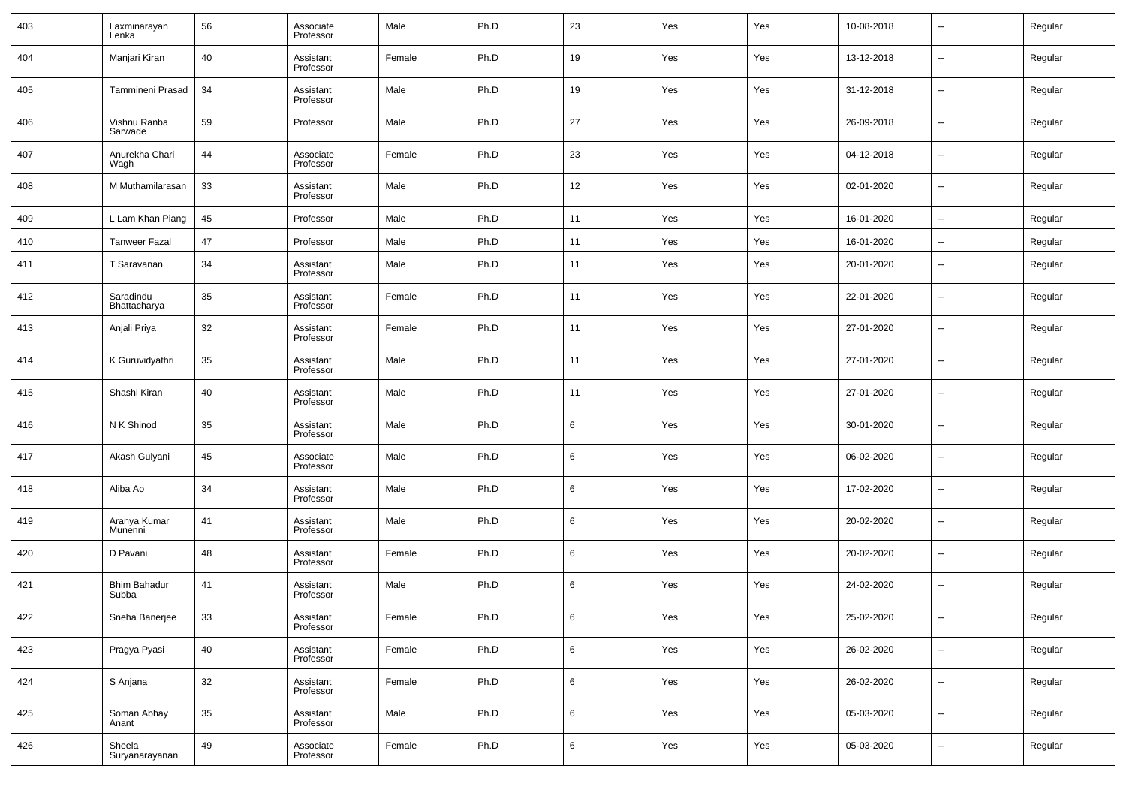| 403 | Laxminarayan<br>Lenka        | 56 | Associate<br>Professor | Male   | Ph.D | 23 | Yes | Yes | 10-08-2018 | $\overline{\phantom{a}}$ | Regular |
|-----|------------------------------|----|------------------------|--------|------|----|-----|-----|------------|--------------------------|---------|
| 404 | Manjari Kiran                | 40 | Assistant<br>Professor | Female | Ph.D | 19 | Yes | Yes | 13-12-2018 | $\overline{\phantom{a}}$ | Regular |
| 405 | Tammineni Prasad             | 34 | Assistant<br>Professor | Male   | Ph.D | 19 | Yes | Yes | 31-12-2018 | $\overline{\phantom{a}}$ | Regular |
| 406 | Vishnu Ranba<br>Sarwade      | 59 | Professor              | Male   | Ph.D | 27 | Yes | Yes | 26-09-2018 | $\overline{\phantom{a}}$ | Regular |
| 407 | Anurekha Chari<br>Wagh       | 44 | Associate<br>Professor | Female | Ph.D | 23 | Yes | Yes | 04-12-2018 | $\overline{\phantom{a}}$ | Regular |
| 408 | M Muthamilarasan             | 33 | Assistant<br>Professor | Male   | Ph.D | 12 | Yes | Yes | 02-01-2020 | $\overline{\phantom{a}}$ | Regular |
| 409 | L Lam Khan Piang             | 45 | Professor              | Male   | Ph.D | 11 | Yes | Yes | 16-01-2020 | $\overline{\phantom{a}}$ | Regular |
| 410 | <b>Tanweer Fazal</b>         | 47 | Professor              | Male   | Ph.D | 11 | Yes | Yes | 16-01-2020 | $\overline{\phantom{a}}$ | Regular |
| 411 | T Saravanan                  | 34 | Assistant<br>Professor | Male   | Ph.D | 11 | Yes | Yes | 20-01-2020 | $\overline{\phantom{a}}$ | Regular |
| 412 | Saradindu<br>Bhattacharya    | 35 | Assistant<br>Professor | Female | Ph.D | 11 | Yes | Yes | 22-01-2020 | $\overline{\phantom{a}}$ | Regular |
| 413 | Anjali Priya                 | 32 | Assistant<br>Professor | Female | Ph.D | 11 | Yes | Yes | 27-01-2020 | $\overline{\phantom{a}}$ | Regular |
| 414 | K Guruvidyathri              | 35 | Assistant<br>Professor | Male   | Ph.D | 11 | Yes | Yes | 27-01-2020 | $\overline{\phantom{a}}$ | Regular |
| 415 | Shashi Kiran                 | 40 | Assistant<br>Professor | Male   | Ph.D | 11 | Yes | Yes | 27-01-2020 | $\overline{\phantom{a}}$ | Regular |
| 416 | N K Shinod                   | 35 | Assistant<br>Professor | Male   | Ph.D | 6  | Yes | Yes | 30-01-2020 | $\overline{\phantom{a}}$ | Regular |
| 417 | Akash Gulyani                | 45 | Associate<br>Professor | Male   | Ph.D | 6  | Yes | Yes | 06-02-2020 | $\sim$                   | Regular |
| 418 | Aliba Ao                     | 34 | Assistant<br>Professor | Male   | Ph.D | 6  | Yes | Yes | 17-02-2020 | $\overline{\phantom{a}}$ | Regular |
| 419 | Aranya Kumar<br>Munenni      | 41 | Assistant<br>Professor | Male   | Ph.D | 6  | Yes | Yes | 20-02-2020 | $\overline{\phantom{a}}$ | Regular |
| 420 | D Pavani                     | 48 | Assistant<br>Professor | Female | Ph.D | 6  | Yes | Yes | 20-02-2020 | $\sim$                   | Regular |
| 421 | <b>Bhim Bahadur</b><br>Subba | 41 | Assistant<br>Professor | Male   | Ph.D | 6  | Yes | Yes | 24-02-2020 | $\overline{\phantom{a}}$ | Regular |
| 422 | Sneha Banerjee               | 33 | Assistant<br>Professor | Female | Ph.D | 6  | Yes | Yes | 25-02-2020 | ۰.                       | Regular |
| 423 | Pragya Pyasi                 | 40 | Assistant<br>Professor | Female | Ph.D | 6  | Yes | Yes | 26-02-2020 | $\overline{\phantom{a}}$ | Regular |
| 424 | S Anjana                     | 32 | Assistant<br>Professor | Female | Ph.D | 6  | Yes | Yes | 26-02-2020 | $\overline{\phantom{a}}$ | Regular |
| 425 | Soman Abhay<br>Anant         | 35 | Assistant<br>Professor | Male   | Ph.D | 6  | Yes | Yes | 05-03-2020 | $\overline{\phantom{a}}$ | Regular |
| 426 | Sheela<br>Suryanarayanan     | 49 | Associate<br>Professor | Female | Ph.D | 6  | Yes | Yes | 05-03-2020 | ۰.                       | Regular |